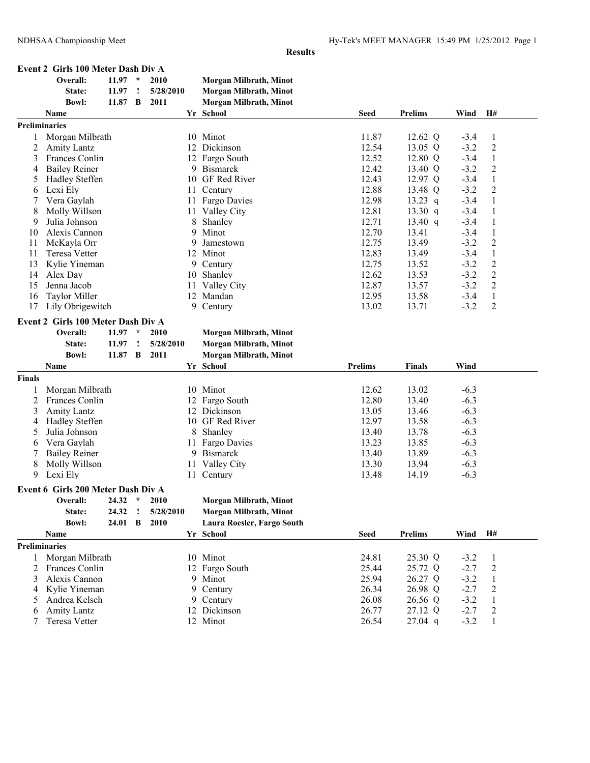| Event 2 Girls 100 Meter Dash Div A |  |
|------------------------------------|--|
|------------------------------------|--|

|                | Overall:                           | 11.97     | $\star$       | 2010      | Morgan Milbrath, Minot        |                |                    |                  |                                |  |
|----------------|------------------------------------|-----------|---------------|-----------|-------------------------------|----------------|--------------------|------------------|--------------------------------|--|
|                | State:                             | 11.97     | Ţ             | 5/28/2010 | Morgan Milbrath, Minot        |                |                    |                  |                                |  |
|                | <b>Bowl:</b>                       | 11.87     | B             | 2011      | Morgan Milbrath, Minot        |                |                    |                  |                                |  |
|                | Name                               |           |               |           | Yr School                     | <b>Seed</b>    | <b>Prelims</b>     | Wind             | H#                             |  |
|                | <b>Preliminaries</b>               |           |               |           |                               |                |                    |                  |                                |  |
|                | Morgan Milbrath                    |           |               |           | 10 Minot                      | 11.87          | 12.62 Q            | $-3.4$           | $\mathbf{1}$                   |  |
| $\overline{c}$ | <b>Amity Lantz</b>                 |           |               |           | 12 Dickinson                  | 12.54          | 13.05 Q            | $-3.2$           | $\overline{c}$                 |  |
| 3              | Frances Conlin                     |           |               |           | 12 Fargo South                | 12.52          | 12.80 Q            | $-3.4$           | $\mathbf{1}$                   |  |
| 4              | <b>Bailey Reiner</b>               |           |               |           | 9 Bismarck                    | 12.42          | 13.40 Q            | $-3.2$           | $\overline{c}$                 |  |
| 5              | Hadley Steffen                     |           |               |           | 10 GF Red River               | 12.43          | 12.97 Q            | $-3.4$           | $\mathbf{1}$                   |  |
| 6              | Lexi Ely                           |           |               |           | 11 Century                    | 12.88          | 13.48 Q            | $-3.2$           | $\overline{c}$                 |  |
| 7              | Vera Gaylah                        |           |               |           | 11 Fargo Davies               | 12.98          | $13.23$ q          | $-3.4$           | $\mathbf{1}$                   |  |
| 8              | Molly Willson                      |           |               |           | 11 Valley City                | 12.81          | 13.30 $q$          | $-3.4$           | $\mathbf{1}$                   |  |
| 9              | Julia Johnson                      |           |               | 8         | Shanley                       | 12.71          | 13.40 $q$          | $-3.4$           | $\mathbf{1}$                   |  |
| 10             | Alexis Cannon                      |           |               | 9         | Minot                         | 12.70          | 13.41              | $-3.4$           | $\mathbf{1}$                   |  |
| 11             | McKayla Orr                        |           |               | 9         | Jamestown                     | 12.75          | 13.49              | $-3.2$           | $\overline{c}$                 |  |
| 11             | Teresa Vetter                      |           |               | 12        | Minot                         | 12.83          | 13.49              | $-3.4$           | $\mathbf{1}$                   |  |
| 13             | Kylie Yineman                      |           |               |           | 9 Century                     | 12.75          | 13.52              | $-3.2$           | $\sqrt{2}$                     |  |
| 14             | Alex Day                           |           |               | 10        | Shanley                       | 12.62          | 13.53              | $-3.2$           | $\overline{2}$                 |  |
| 15             | Jenna Jacob                        |           |               | 11        | Valley City                   | 12.87          | 13.57              | $-3.2$           | $\overline{2}$                 |  |
| 16             | <b>Taylor Miller</b>               |           |               |           | 12 Mandan                     | 12.95          | 13.58              | $-3.4$           | $\mathbf{1}$                   |  |
| 17             | Lily Obrigewitch                   |           |               |           | 9 Century                     | 13.02          | 13.71              | $-3.2$           | 2                              |  |
|                | Event 2 Girls 100 Meter Dash Div A |           |               |           |                               |                |                    |                  |                                |  |
|                | Overall:                           | $11.97 *$ |               | 2010      | Morgan Milbrath, Minot        |                |                    |                  |                                |  |
|                | State:                             | 11.97     | ÷             | 5/28/2010 | Morgan Milbrath, Minot        |                |                    |                  |                                |  |
|                | <b>Bowl:</b>                       | 11.87 B   |               | 2011      | Morgan Milbrath, Minot        |                |                    |                  |                                |  |
|                | Name                               |           |               |           | Yr School                     | <b>Prelims</b> | <b>Finals</b>      | Wind             |                                |  |
| Finals         |                                    |           |               |           |                               |                |                    |                  |                                |  |
| 1              | Morgan Milbrath                    |           |               |           | 10 Minot                      | 12.62          | 13.02              | $-6.3$           |                                |  |
| $\overline{c}$ | Frances Conlin                     |           |               |           | 12 Fargo South                | 12.80          | 13.40              | $-6.3$           |                                |  |
| 3              | <b>Amity Lantz</b>                 |           |               |           | 12 Dickinson                  | 13.05          | 13.46              | $-6.3$           |                                |  |
| 4              | Hadley Steffen                     |           |               |           | 10 GF Red River               | 12.97          | 13.58              | $-6.3$           |                                |  |
| 5              | Julia Johnson                      |           |               | 8         | Shanley                       | 13.40          | 13.78              | $-6.3$           |                                |  |
| 6              | Vera Gaylah                        |           |               | 11        | Fargo Davies                  | 13.23          | 13.85              | $-6.3$           |                                |  |
| 7              | <b>Bailey Reiner</b>               |           |               | 9.        | <b>Bismarck</b>               | 13.40          | 13.89              | $-6.3$           |                                |  |
| 8              | Molly Willson                      |           |               | 11        | Valley City                   | 13.30          | 13.94              | $-6.3$           |                                |  |
| 9              | Lexi Ely                           |           |               |           | 11 Century                    | 13.48          | 14.19              | $-6.3$           |                                |  |
|                | Event 6 Girls 200 Meter Dash Div A |           |               |           |                               |                |                    |                  |                                |  |
|                | Overall:                           | 24.32     | $\mathcal{R}$ | 2010      | <b>Morgan Milbrath, Minot</b> |                |                    |                  |                                |  |
|                | State:                             | 24.32     | $\cdot$       | 5/28/2010 | Morgan Milbrath, Minot        |                |                    |                  |                                |  |
|                | <b>Bowl:</b>                       | 24.01     | B             | 2010      | Laura Roesler, Fargo South    |                |                    |                  |                                |  |
|                | Name                               |           |               |           | Yr School                     | <b>Seed</b>    | <b>Prelims</b>     | Wind             | H#                             |  |
|                | <b>Preliminaries</b>               |           |               |           |                               |                |                    |                  |                                |  |
| 1              | Morgan Milbrath                    |           |               |           | 10 Minot                      | 24.81          | 25.30 Q            | $-3.2$           | $\mathbf{1}$                   |  |
| 2              | Frances Conlin                     |           |               |           | 12 Fargo South                | 25.44          | 25.72 Q            | $-2.7$           | $\overline{c}$                 |  |
| 3              |                                    |           |               |           |                               |                |                    |                  |                                |  |
|                |                                    |           |               |           |                               |                |                    |                  |                                |  |
| 4              | Alexis Cannon                      |           |               |           | 9 Minot                       | 25.94          | 26.27 Q            | $-3.2$           | 1                              |  |
| 5              | Kylie Yineman                      |           |               |           | 9 Century                     | 26.34          | 26.98 Q            | $-2.7$           | $\overline{\mathbf{c}}$        |  |
| 6              | Andrea Kelsch<br>Amity Lantz       |           |               |           | 9 Century<br>12 Dickinson     | 26.08<br>26.77 | 26.56 Q<br>27.12 Q | $-3.2$<br>$-2.7$ | $\mathbf{1}$<br>$\overline{c}$ |  |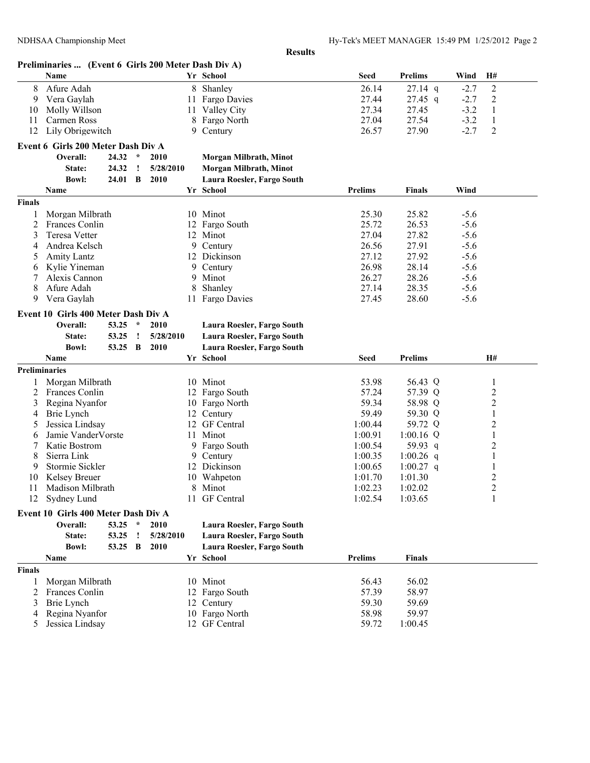|                      |                                                     |           |              |           |    | <b>Results</b>                |                |                |                  |                |
|----------------------|-----------------------------------------------------|-----------|--------------|-----------|----|-------------------------------|----------------|----------------|------------------|----------------|
|                      | Preliminaries  (Event 6 Girls 200 Meter Dash Div A) |           |              |           |    |                               |                |                |                  |                |
|                      | <b>Name</b>                                         |           |              |           |    | Yr School                     | <b>Seed</b>    | <b>Prelims</b> | Wind             | H#             |
| 8                    | Afure Adah                                          |           |              |           |    | 8 Shanley                     | 26.14          | $27.14$ q      | $-2.7$           | $\overline{c}$ |
| 9                    | Vera Gaylah                                         |           |              |           |    | 11 Fargo Davies               | 27.44          | $27.45$ q      | $-2.7$           | 2              |
| 10                   | Molly Willson                                       |           |              |           |    | 11 Valley City                | 27.34          | 27.45          | $-3.2$           | 1              |
| 11                   | Carmen Ross                                         |           |              |           | 8  | Fargo North                   | 27.04          | 27.54          | $-3.2$           | $\mathbf{1}$   |
| 12                   | Lily Obrigewitch                                    |           |              |           | 9  | Century                       | 26.57          | 27.90          | $-2.7$           | $\overline{2}$ |
|                      | Event 6 Girls 200 Meter Dash Div A                  |           |              |           |    |                               |                |                |                  |                |
|                      | Overall:                                            | 24.32     | $\star$      | 2010      |    | <b>Morgan Milbrath, Minot</b> |                |                |                  |                |
|                      | State:                                              | 24.32     | $\cdot$      | 5/28/2010 |    | Morgan Milbrath, Minot        |                |                |                  |                |
|                      | <b>Bowl:</b>                                        | 24.01     | $\mathbf{B}$ | 2010      |    | Laura Roesler, Fargo South    |                |                |                  |                |
|                      | Name                                                |           |              |           |    | Yr School                     | <b>Prelims</b> | <b>Finals</b>  | Wind             |                |
| <b>Finals</b>        |                                                     |           |              |           |    |                               |                |                |                  |                |
| 1                    |                                                     |           |              |           |    | 10 Minot                      | 25.30          | 25.82          | $-5.6$           |                |
| 2                    | Morgan Milbrath                                     |           |              |           |    |                               | 25.72          | 26.53          |                  |                |
| 3                    | Frances Conlin<br><b>Teresa Vetter</b>              |           |              |           |    | 12 Fargo South<br>12 Minot    | 27.04          | 27.82          | $-5.6$<br>$-5.6$ |                |
| 4                    | Andrea Kelsch                                       |           |              |           |    | 9 Century                     | 26.56          | 27.91          | $-5.6$           |                |
| 5                    | Amity Lantz                                         |           |              |           |    | 12 Dickinson                  | 27.12          | 27.92          | $-5.6$           |                |
|                      | Kylie Yineman                                       |           |              |           |    | 9 Century                     | 26.98          | 28.14          | $-5.6$           |                |
| 6<br>7               | Alexis Cannon                                       |           |              |           |    | 9 Minot                       | 26.27          | 28.26          | $-5.6$           |                |
| 8                    | Afure Adah                                          |           |              |           | 8  | Shanley                       | 27.14          | 28.35          | $-5.6$           |                |
| 9                    | Vera Gaylah                                         |           |              |           |    | 11 Fargo Davies               | 27.45          | 28.60          | $-5.6$           |                |
|                      |                                                     |           |              |           |    |                               |                |                |                  |                |
|                      | Event 10 Girls 400 Meter Dash Div A                 |           |              |           |    |                               |                |                |                  |                |
|                      | Overall:                                            | 53.25     | $\star$      | 2010      |    | Laura Roesler, Fargo South    |                |                |                  |                |
|                      | State:                                              | 53.25     | $\cdot$      | 5/28/2010 |    | Laura Roesler, Fargo South    |                |                |                  |                |
|                      | <b>Bowl:</b>                                        | 53.25     | $\mathbf{B}$ | 2010      |    | Laura Roesler, Fargo South    |                |                |                  |                |
|                      | Name                                                |           |              |           |    | Yr School                     | <b>Seed</b>    | <b>Prelims</b> |                  | <b>H#</b>      |
| <b>Preliminaries</b> |                                                     |           |              |           |    |                               |                |                |                  |                |
|                      | Morgan Milbrath                                     |           |              |           |    | 10 Minot                      | 53.98          | 56.43 Q        |                  | $\mathbf{1}$   |
| 2                    | Frances Conlin                                      |           |              |           |    | 12 Fargo South                | 57.24          | 57.39 Q        |                  | 2              |
| 3                    | Regina Nyanfor                                      |           |              |           |    | 10 Fargo North                | 59.34          | 58.98 Q        |                  | 2              |
|                      |                                                     |           |              |           |    |                               |                |                |                  |                |
| 4                    | Brie Lynch                                          |           |              |           |    | 12 Century                    | 59.49          | 59.30 Q        |                  | 1              |
| 5                    | Jessica Lindsay                                     |           |              |           |    | 12 GF Central                 | 1:00.44        | 59.72 Q        |                  | 2              |
| 6                    | Jamie VanderVorste                                  |           |              |           | 11 | Minot                         | 1:00.91        | $1:00.16$ Q    |                  | 1              |
| 7                    | Katie Bostrom                                       |           |              |           |    | 9 Fargo South                 | 1:00.54        | 59.93 q        |                  | 2              |
| 8                    | Sierra Link                                         |           |              |           |    | 9 Century                     | 1:00.35        | 1:00.26 q      |                  | 1              |
| 9                    | Stormie Sickler                                     |           |              |           |    | 12 Dickinson                  | 1:00.65        | 1:00.27 q      |                  |                |
| 10                   | Kelsey Breuer                                       |           |              |           |    | 10 Wahpeton                   | 1:01.70        | 1:01.30        |                  | 2              |
| 11                   | Madison Milbrath                                    |           |              |           |    | 8 Minot                       | 1:02.23        | 1:02.02        |                  | 2              |
| 12                   | Sydney Lund                                         |           |              |           |    | 11 GF Central                 | 1:02.54        | 1:03.65        |                  | 1              |
|                      | Event 10 Girls 400 Meter Dash Div A                 |           |              |           |    |                               |                |                |                  |                |
|                      | Overall:                                            | $53.25$ * |              | 2010      |    | Laura Roesler, Fargo South    |                |                |                  |                |
|                      | State:                                              | 53.25     | $\cdot$      | 5/28/2010 |    | Laura Roesler, Fargo South    |                |                |                  |                |
|                      | <b>Bowl:</b>                                        | 53.25 B   |              | 2010      |    | Laura Roesler, Fargo South    |                |                |                  |                |
|                      | Name                                                |           |              |           |    | Yr School                     | <b>Prelims</b> | <b>Finals</b>  |                  |                |
| <b>Finals</b>        |                                                     |           |              |           |    |                               |                |                |                  |                |
| 1                    | Morgan Milbrath                                     |           |              |           |    | 10 Minot                      | 56.43          | 56.02          |                  |                |
| 2                    | Frances Conlin                                      |           |              |           |    | 12 Fargo South                | 57.39          | 58.97          |                  |                |
| 3                    | Brie Lynch                                          |           |              |           |    | 12 Century                    | 59.30          | 59.69          |                  |                |
| 4                    | Regina Nyanfor                                      |           |              |           |    | 10 Fargo North                | 58.98          | 59.97          |                  |                |
| 5                    | Jessica Lindsay                                     |           |              |           |    | 12 GF Central                 | 59.72          | 1:00.45        |                  |                |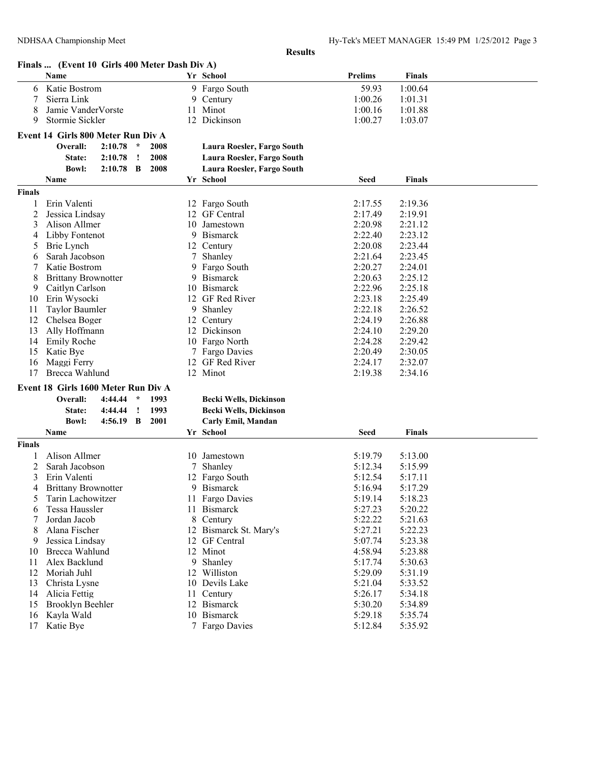|               | Finals  (Event 10 Girls 400 Meter Dash Div A) |         |         |      |    |                            |                    |                    |  |
|---------------|-----------------------------------------------|---------|---------|------|----|----------------------------|--------------------|--------------------|--|
|               | Name                                          |         |         |      |    | Yr School                  | <b>Prelims</b>     | <b>Finals</b>      |  |
| 6             | Katie Bostrom                                 |         |         |      | 9. | Fargo South                | 59.93              | 1:00.64            |  |
| 7             | Sierra Link                                   |         |         |      | 9  | Century                    | 1:00.26            | 1:01.31            |  |
| 8             | Jamie VanderVorste                            |         |         |      |    | 11 Minot                   | 1:00.16            | 1:01.88            |  |
| 9             | Stormie Sickler                               |         |         |      |    | 12 Dickinson               | 1:00.27            | 1:03.07            |  |
|               | Event 14 Girls 800 Meter Run Div A            |         |         |      |    |                            |                    |                    |  |
|               | Overall:                                      | 2:10.78 | $\star$ | 2008 |    | Laura Roesler, Fargo South |                    |                    |  |
|               | State:                                        | 2:10.78 | $\cdot$ | 2008 |    | Laura Roesler, Fargo South |                    |                    |  |
|               | Bowl:                                         | 2:10.78 | B       | 2008 |    | Laura Roesler, Fargo South |                    |                    |  |
|               | Name                                          |         |         |      |    | Yr School                  | Seed               | <b>Finals</b>      |  |
| <b>Finals</b> |                                               |         |         |      |    |                            |                    |                    |  |
|               |                                               |         |         |      |    |                            |                    |                    |  |
| 1             | Erin Valenti                                  |         |         |      |    | 12 Fargo South             | 2:17.55            | 2:19.36            |  |
| 2<br>3        | Jessica Lindsay<br>Alison Allmer              |         |         |      | 10 | 12 GF Central<br>Jamestown | 2:17.49<br>2:20.98 | 2:19.91<br>2:21.12 |  |
| 4             | Libby Fontenot                                |         |         |      | 9  | <b>Bismarck</b>            | 2:22.40            | 2:23.12            |  |
| 5             | Brie Lynch                                    |         |         |      |    | 12 Century                 | 2:20.08            | 2:23.44            |  |
| 6             | Sarah Jacobson                                |         |         |      |    | Shanley                    | 2:21.64            | 2:23.45            |  |
| 7             | Katie Bostrom                                 |         |         |      | 9  | Fargo South                | 2:20.27            | 2:24.01            |  |
| 8             | <b>Brittany Brownotter</b>                    |         |         |      | 9  | <b>Bismarck</b>            | 2:20.63            | 2:25.12            |  |
| 9             | Caitlyn Carlson                               |         |         |      | 10 | <b>Bismarck</b>            | 2:22.96            | 2:25.18            |  |
| 10            | Erin Wysocki                                  |         |         |      |    | 12 GF Red River            | 2:23.18            | 2:25.49            |  |
| 11            | <b>Taylor Baumler</b>                         |         |         |      | 9  | Shanley                    | 2:22.18            | 2:26.52            |  |
| 12            | Chelsea Boger                                 |         |         |      | 12 | Century                    | 2:24.19            | 2:26.88            |  |
| 13            | Ally Hoffmann                                 |         |         |      | 12 | Dickinson                  | 2:24.10            | 2:29.20            |  |
| 14            | <b>Emily Roche</b>                            |         |         |      | 10 | Fargo North                | 2:24.28            | 2:29.42            |  |
| 15            | Katie Bye                                     |         |         |      | 7  | Fargo Davies               | 2:20.49            | 2:30.05            |  |
| 16            | Maggi Ferry                                   |         |         |      |    | 12 GF Red River            | 2:24.17            | 2:32.07            |  |
| 17            | Brecca Wahlund                                |         |         |      |    | 12 Minot                   | 2:19.38            | 2:34.16            |  |
|               | Event 18 Girls 1600 Meter Run Div A           |         |         |      |    |                            |                    |                    |  |
|               | Overall:                                      | 4:44.44 | $\star$ | 1993 |    | Becki Wells, Dickinson     |                    |                    |  |
|               | State:                                        | 4:44.44 | $\cdot$ | 1993 |    | Becki Wells, Dickinson     |                    |                    |  |
|               | <b>Bowl:</b>                                  | 4:56.19 | - B     | 2001 |    | Carly Emil, Mandan         |                    |                    |  |
|               | Name                                          |         |         |      |    | Yr School                  | Seed               | <b>Finals</b>      |  |
| <b>Finals</b> |                                               |         |         |      |    |                            |                    |                    |  |
|               | Alison Allmer                                 |         |         |      |    |                            | 5:19.79            |                    |  |
| 1<br>2        |                                               |         |         |      | 10 | Jamestown                  | 5:12.34            | 5:13.00            |  |
| 3             | Sarah Jacobson<br>Erin Valenti                |         |         |      | 7  | Shanley<br>12 Fargo South  | 5:12.54            | 5:15.99<br>5:17.11 |  |
| 4             | <b>Brittany Brownotter</b>                    |         |         |      |    | 9 Bismarck                 | 5:16.94            | 5:17.29            |  |
| 5             | Tarin Lachowitzer                             |         |         |      |    | 11 Fargo Davies            | 5:19.14            | 5:18.23            |  |
| 6             | Tessa Haussler                                |         |         |      |    | 11 Bismarck                | 5:27.23            | 5:20.22            |  |
| 7             | Jordan Jacob                                  |         |         |      |    | 8 Century                  | 5:22.22            | 5:21.63            |  |
| 8             | Alana Fischer                                 |         |         |      |    | 12 Bismarck St. Mary's     | 5:27.21            | 5:22.23            |  |
| 9             | Jessica Lindsay                               |         |         |      |    | 12 GF Central              | 5:07.74            | 5:23.38            |  |
| 10            | Brecca Wahlund                                |         |         |      |    | 12 Minot                   | 4:58.94            | 5:23.88            |  |
| 11            | Alex Backlund                                 |         |         |      | 9  | Shanley                    | 5:17.74            | 5:30.63            |  |
| 12            | Moriah Juhl                                   |         |         |      |    | 12 Williston               | 5:29.09            | 5:31.19            |  |
| 13            | Christa Lysne                                 |         |         |      |    | 10 Devils Lake             | 5:21.04            | 5:33.52            |  |
| 14            | Alicia Fettig                                 |         |         |      |    | 11 Century                 | 5:26.17            | 5:34.18            |  |
| 15            | <b>Brooklyn Beehler</b>                       |         |         |      |    | 12 Bismarck                | 5:30.20            | 5:34.89            |  |
| 16            | Kayla Wald                                    |         |         |      |    | 10 Bismarck                | 5:29.18            | 5:35.74            |  |
| 17            | Katie Bye                                     |         |         |      |    | 7 Fargo Davies             | 5:12.84            | 5:35.92            |  |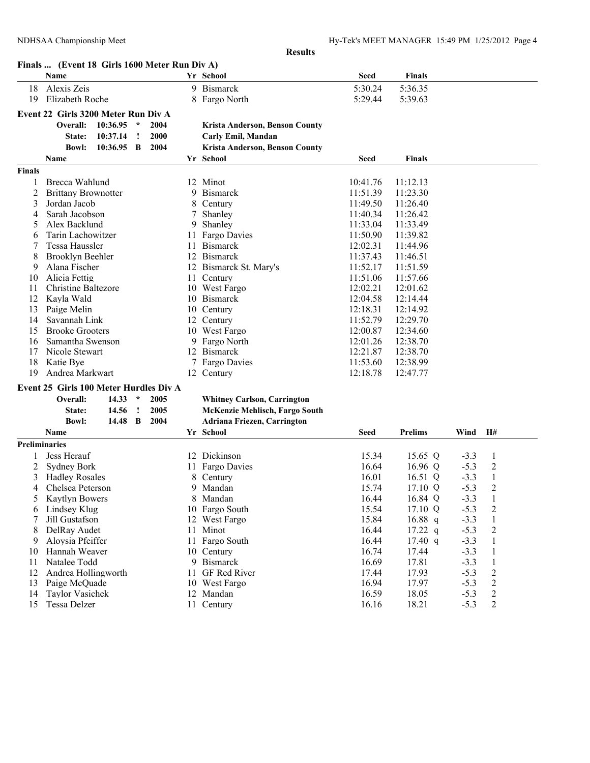|                      | Finals  (Event 18 Girls 1600 Meter Run Div A) |            |          |      |     |                                    |             |                |        |                  |  |
|----------------------|-----------------------------------------------|------------|----------|------|-----|------------------------------------|-------------|----------------|--------|------------------|--|
|                      | Name                                          |            |          |      |     | Yr School                          | Seed        | Finals         |        |                  |  |
| 18                   | Alexis Zeis                                   |            |          |      |     | 9 Bismarck                         | 5:30.24     | 5:36.35        |        |                  |  |
| 19                   | Elizabeth Roche                               |            |          |      |     | 8 Fargo North                      | 5:29.44     | 5:39.63        |        |                  |  |
|                      | Event 22 Girls 3200 Meter Run Div A           |            |          |      |     |                                    |             |                |        |                  |  |
|                      | Overall:                                      | 10:36.95   | $\star$  | 2004 |     | Krista Anderson, Benson County     |             |                |        |                  |  |
|                      | State:                                        | 10:37.14   | <u>!</u> | 2000 |     | Carly Emil, Mandan                 |             |                |        |                  |  |
|                      | <b>Bowl:</b>                                  | 10:36.95 B |          | 2004 |     | Krista Anderson, Benson County     |             |                |        |                  |  |
|                      | Name                                          |            |          |      |     | Yr School                          | Seed        | Finals         |        |                  |  |
| <b>Finals</b>        |                                               |            |          |      |     |                                    |             |                |        |                  |  |
|                      | Brecca Wahlund                                |            |          |      |     | 12 Minot                           | 10:41.76    | 11:12.13       |        |                  |  |
| 2                    | <b>Brittany Brownotter</b>                    |            |          |      |     | 9 Bismarck                         | 11:51.39    | 11:23.30       |        |                  |  |
| 3                    | Jordan Jacob                                  |            |          |      | 8   | Century                            | 11:49.50    | 11:26.40       |        |                  |  |
| 4                    | Sarah Jacobson                                |            |          |      | 7   | Shanley                            | 11:40.34    | 11:26.42       |        |                  |  |
| 5                    | Alex Backlund                                 |            |          |      | 9   | Shanley                            | 11:33.04    | 11:33.49       |        |                  |  |
| 6                    | Tarin Lachowitzer                             |            |          |      | 11  | Fargo Davies                       | 11:50.90    | 11:39.82       |        |                  |  |
|                      | Tessa Haussler                                |            |          |      | 11. | <b>Bismarck</b>                    | 12:02.31    | 11:44.96       |        |                  |  |
| 8                    | <b>Brooklyn Beehler</b>                       |            |          |      |     | 12 Bismarck                        | 11:37.43    | 11:46.51       |        |                  |  |
| 9                    | Alana Fischer                                 |            |          |      |     | 12 Bismarck St. Mary's             | 11:52.17    | 11:51.59       |        |                  |  |
| 10                   | Alicia Fettig                                 |            |          |      | 11. | Century                            | 11:51.06    | 11:57.66       |        |                  |  |
| 11                   | <b>Christine Baltezore</b>                    |            |          |      |     | 10 West Fargo                      | 12:02.21    | 12:01.62       |        |                  |  |
| 12                   | Kayla Wald                                    |            |          |      |     | 10 Bismarck                        | 12:04.58    | 12:14.44       |        |                  |  |
| 13                   | Paige Melin                                   |            |          |      | 10  | Century                            | 12:18.31    | 12:14.92       |        |                  |  |
| 14                   | Savannah Link                                 |            |          |      |     | 12 Century                         | 11:52.79    | 12:29.70       |        |                  |  |
| 15                   | <b>Brooke Grooters</b>                        |            |          |      |     | 10 West Fargo                      | 12:00.87    | 12:34.60       |        |                  |  |
| 16                   | Samantha Swenson                              |            |          |      |     | 9 Fargo North                      | 12:01.26    | 12:38.70       |        |                  |  |
| 17                   | Nicole Stewart                                |            |          |      |     | 12 Bismarck                        | 12:21.87    | 12:38.70       |        |                  |  |
| 18                   | Katie Bye                                     |            |          |      |     | 7 Fargo Davies                     | 11:53.60    | 12:38.99       |        |                  |  |
| 19                   | Andrea Markwart                               |            |          |      |     | 12 Century                         | 12:18.78    | 12:47.77       |        |                  |  |
|                      | Event 25 Girls 100 Meter Hurdles Div A        |            |          |      |     |                                    |             |                |        |                  |  |
|                      | Overall:                                      | 14.33      | $\star$  | 2005 |     | <b>Whitney Carlson, Carrington</b> |             |                |        |                  |  |
|                      | State:                                        | 14.56      | $\cdot$  | 2005 |     | McKenzie Mehlisch, Fargo South     |             |                |        |                  |  |
|                      | <b>Bowl:</b>                                  | 14.48 B    |          | 2004 |     | <b>Adriana Friezen, Carrington</b> |             |                |        |                  |  |
|                      | <b>Name</b>                                   |            |          |      |     | Yr School                          | <b>Seed</b> | <b>Prelims</b> | Wind   | H#               |  |
| <b>Preliminaries</b> |                                               |            |          |      |     |                                    |             |                |        |                  |  |
|                      | Jess Herauf                                   |            |          |      |     | 12 Dickinson                       | 15.34       | 15.65 Q        | $-3.3$ | 1                |  |
| 2                    | <b>Sydney Bork</b>                            |            |          |      | 11  | Fargo Davies                       | 16.64       | 16.96 $Q$      | $-5.3$ | $\overline{c}$   |  |
| 3                    | <b>Hadley Rosales</b>                         |            |          |      | 8   | Century                            | 16.01       | 16.51 Q        | $-3.3$ | 1                |  |
| 4                    | Chelsea Peterson                              |            |          |      | 9   | Mandan                             | 15.74       | 17.10 Q        | $-5.3$ | 2                |  |
| 5                    | <b>Kaytlyn Bowers</b>                         |            |          |      |     | 8 Mandan                           | 16.44       | 16.84 Q        | $-3.3$ | 1                |  |
| 6                    | Lindsey Klug                                  |            |          |      |     | 10 Fargo South                     | 15.54       | 17.10 Q        | $-5.3$ | $\overline{c}$   |  |
| 7                    | Jill Gustafson                                |            |          |      |     | 12 West Fargo                      | 15.84       | 16.88 q        | $-3.3$ | $\,1$            |  |
| 8                    | DelRay Audet                                  |            |          |      | 11  | Minot                              | 16.44       | $17.22$ q      | $-5.3$ | $\overline{c}$   |  |
| 9                    | Aloysia Pfeiffer                              |            |          |      |     | 11 Fargo South                     | 16.44       | 17.40 q        | $-3.3$ | $\mathbf{1}$     |  |
| 10                   | Hannah Weaver                                 |            |          |      |     | 10 Century                         | 16.74       | 17.44          | $-3.3$ | 1                |  |
| 11                   | Natalee Todd                                  |            |          |      |     | 9 Bismarck                         | 16.69       | 17.81          | $-3.3$ | $\mathbf{1}$     |  |
| 12                   | Andrea Hollingworth                           |            |          |      | 11  | GF Red River                       | 17.44       | 17.93          | $-5.3$ | $\boldsymbol{2}$ |  |
| 13                   | Paige McQuade                                 |            |          |      |     | 10 West Fargo                      | 16.94       | 17.97          | $-5.3$ | $\sqrt{2}$       |  |
| 14                   | Taylor Vasichek                               |            |          |      |     | 12 Mandan                          | 16.59       | 18.05          | $-5.3$ | $\overline{c}$   |  |
| 15                   | Tessa Delzer                                  |            |          |      |     | 11 Century                         | 16.16       | 18.21          | $-5.3$ | $\overline{c}$   |  |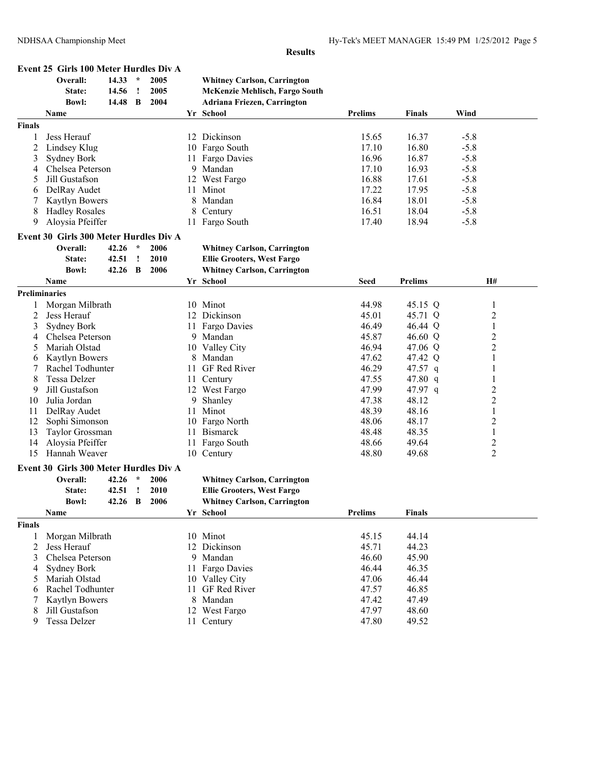|               | Event 25 Girls 100 Meter Hurdles Div A                                                                                                                                                                                                                                                                                                                                                                                                 |       |              |                                    |                                   |                                    |                |                |                |
|---------------|----------------------------------------------------------------------------------------------------------------------------------------------------------------------------------------------------------------------------------------------------------------------------------------------------------------------------------------------------------------------------------------------------------------------------------------|-------|--------------|------------------------------------|-----------------------------------|------------------------------------|----------------|----------------|----------------|
|               | Overall:                                                                                                                                                                                                                                                                                                                                                                                                                               | 14.33 | $\star$      | 2005                               |                                   | <b>Whitney Carlson, Carrington</b> |                |                |                |
|               | State:                                                                                                                                                                                                                                                                                                                                                                                                                                 | 14.56 | $\mathbf{I}$ | 2005                               |                                   | McKenzie Mehlisch, Fargo South     |                |                |                |
|               | <b>Bowl:</b>                                                                                                                                                                                                                                                                                                                                                                                                                           | 14.48 | $\mathbf B$  | 2004                               |                                   | <b>Adriana Friezen, Carrington</b> |                |                |                |
|               | Name                                                                                                                                                                                                                                                                                                                                                                                                                                   |       |              |                                    |                                   | Yr School                          | <b>Prelims</b> | <b>Finals</b>  | Wind           |
| <b>Finals</b> |                                                                                                                                                                                                                                                                                                                                                                                                                                        |       |              |                                    |                                   |                                    |                |                |                |
| 1             | Jess Herauf                                                                                                                                                                                                                                                                                                                                                                                                                            |       |              |                                    |                                   | 12 Dickinson                       | 15.65          | 16.37          | $-5.8$         |
| 2             | Lindsey Klug                                                                                                                                                                                                                                                                                                                                                                                                                           |       |              |                                    | 10                                | Fargo South                        | 17.10          | 16.80          | $-5.8$         |
| 3             | <b>Sydney Bork</b>                                                                                                                                                                                                                                                                                                                                                                                                                     |       |              |                                    |                                   | 11 Fargo Davies                    | 16.96          | 16.87          | $-5.8$         |
| 4             | Chelsea Peterson                                                                                                                                                                                                                                                                                                                                                                                                                       |       |              |                                    | 9                                 | Mandan                             | 17.10          | 16.93          | $-5.8$         |
| 5             | Jill Gustafson                                                                                                                                                                                                                                                                                                                                                                                                                         |       |              |                                    |                                   | 12 West Fargo                      | 16.88          | 17.61          | $-5.8$         |
| 6             | DelRay Audet                                                                                                                                                                                                                                                                                                                                                                                                                           |       |              |                                    | 11                                | Minot                              | 17.22          | 17.95          | $-5.8$         |
| 7             |                                                                                                                                                                                                                                                                                                                                                                                                                                        |       |              |                                    | 8                                 | Mandan                             | 16.84          | 18.01          | $-5.8$         |
| 8             | <b>Hadley Rosales</b><br>Aloysia Pfeiffer<br>$\star$<br>Overall:<br>42.26<br>2006<br>42.51<br>$\mathbf{I}$<br>2010<br>State:<br><b>Bowl:</b><br>42.26<br>$\mathbf{B}$<br>2006<br>Name                                                                                                                                                                                                                                                  |       | 8            | Century                            | 16.51                             | 18.04                              | $-5.8$         |                |                |
| 9             | <b>Kaytlyn Bowers</b><br><b>Preliminaries</b><br>Morgan Milbrath<br>Jess Herauf                                                                                                                                                                                                                                                                                                                                                        |       |              | 11 Fargo South                     | 17.40                             | 18.94                              | $-5.8$         |                |                |
|               |                                                                                                                                                                                                                                                                                                                                                                                                                                        |       |              |                                    |                                   |                                    |                |                |                |
|               | Event 30 Girls 300 Meter Hurdles Div A                                                                                                                                                                                                                                                                                                                                                                                                 |       |              |                                    |                                   |                                    |                |                |                |
|               |                                                                                                                                                                                                                                                                                                                                                                                                                                        |       |              |                                    |                                   | <b>Whitney Carlson, Carrington</b> |                |                |                |
|               |                                                                                                                                                                                                                                                                                                                                                                                                                                        |       |              |                                    | <b>Ellie Grooters, West Fargo</b> |                                    |                |                |                |
|               |                                                                                                                                                                                                                                                                                                                                                                                                                                        |       |              | <b>Whitney Carlson, Carrington</b> |                                   |                                    |                |                |                |
|               |                                                                                                                                                                                                                                                                                                                                                                                                                                        |       |              |                                    |                                   | Yr School                          | <b>Seed</b>    | <b>Prelims</b> | <b>H#</b>      |
|               |                                                                                                                                                                                                                                                                                                                                                                                                                                        |       |              |                                    |                                   |                                    |                |                |                |
| 1             |                                                                                                                                                                                                                                                                                                                                                                                                                                        |       |              |                                    |                                   | 10 Minot                           | 44.98          | 45.15 Q        | $\mathbf{1}$   |
| 2             |                                                                                                                                                                                                                                                                                                                                                                                                                                        |       |              |                                    |                                   | 12 Dickinson                       | 45.01          | 45.71 Q        | $\overline{2}$ |
| 3             | <b>Sydney Bork</b>                                                                                                                                                                                                                                                                                                                                                                                                                     |       |              |                                    | 11                                | Fargo Davies                       | 46.49          | 46.44 Q        | $\mathbf{1}$   |
| 4             | Chelsea Peterson                                                                                                                                                                                                                                                                                                                                                                                                                       |       |              |                                    |                                   | 9 Mandan                           | 45.87          | 46.60 Q        | $\overline{c}$ |
| 5             | Mariah Olstad                                                                                                                                                                                                                                                                                                                                                                                                                          |       |              |                                    |                                   | 10 Valley City                     | 46.94          | 47.06 Q        | $\overline{2}$ |
| 6             | Kaytlyn Bowers                                                                                                                                                                                                                                                                                                                                                                                                                         |       |              |                                    |                                   | Mandan                             | 47.62          | 47.42 Q        | 1              |
| 7             |                                                                                                                                                                                                                                                                                                                                                                                                                                        |       |              |                                    | 11                                | GF Red River                       | 46.29          | 47.57 $q$      | $\mathbf{1}$   |
| 8             | Tessa Delzer                                                                                                                                                                                                                                                                                                                                                                                                                           |       |              |                                    |                                   | 11 Century                         | 47.55          | 47.80 $q$      | 1              |
| 9             |                                                                                                                                                                                                                                                                                                                                                                                                                                        |       |              |                                    |                                   | 12 West Fargo                      | 47.99          | 47.97 q        | $\overline{c}$ |
| 10            | Julia Jordan                                                                                                                                                                                                                                                                                                                                                                                                                           |       |              |                                    | 9                                 | Shanley                            | 47.38          | 48.12          | $\overline{2}$ |
| 11            |                                                                                                                                                                                                                                                                                                                                                                                                                                        |       |              |                                    |                                   | 11 Minot                           | 48.39          | 48.16          | $\mathbf{1}$   |
| 12            |                                                                                                                                                                                                                                                                                                                                                                                                                                        |       |              |                                    |                                   | 10 Fargo North                     | 48.06          | 48.17          | $\overline{2}$ |
| 13            |                                                                                                                                                                                                                                                                                                                                                                                                                                        |       |              |                                    | 11                                | <b>Bismarck</b>                    | 48.48          | 48.35          | $\,1\,$        |
| 14            |                                                                                                                                                                                                                                                                                                                                                                                                                                        |       |              |                                    |                                   | 11 Fargo South                     | 48.66          | 49.64          | $\overline{c}$ |
| 15            |                                                                                                                                                                                                                                                                                                                                                                                                                                        |       |              |                                    |                                   | 10 Century                         | 48.80          | 49.68          | $\overline{2}$ |
|               |                                                                                                                                                                                                                                                                                                                                                                                                                                        |       |              |                                    |                                   |                                    |                |                |                |
|               |                                                                                                                                                                                                                                                                                                                                                                                                                                        |       | $\star$      | 2006                               |                                   | <b>Whitney Carlson, Carrington</b> |                |                |                |
|               |                                                                                                                                                                                                                                                                                                                                                                                                                                        |       |              | 2010                               |                                   | <b>Ellie Grooters, West Fargo</b>  |                |                |                |
|               |                                                                                                                                                                                                                                                                                                                                                                                                                                        |       |              | 2006                               |                                   | <b>Whitney Carlson, Carrington</b> |                |                |                |
|               |                                                                                                                                                                                                                                                                                                                                                                                                                                        |       |              |                                    |                                   | Yr School                          | <b>Prelims</b> | <b>Finals</b>  |                |
| <b>Finals</b> |                                                                                                                                                                                                                                                                                                                                                                                                                                        |       |              |                                    |                                   |                                    |                |                |                |
|               |                                                                                                                                                                                                                                                                                                                                                                                                                                        |       |              |                                    |                                   | 10 Minot                           | 45.15          | 44.14          |                |
| 1             |                                                                                                                                                                                                                                                                                                                                                                                                                                        |       |              |                                    |                                   | 12 Dickinson                       | 45.71          | 44.23          |                |
| 2<br>3        |                                                                                                                                                                                                                                                                                                                                                                                                                                        |       |              |                                    |                                   |                                    | 46.60          | 45.90          |                |
|               |                                                                                                                                                                                                                                                                                                                                                                                                                                        |       |              |                                    |                                   | 9 Mandan                           |                | 46.35          |                |
| 4             |                                                                                                                                                                                                                                                                                                                                                                                                                                        |       |              |                                    |                                   | 11 Fargo Davies                    | 46.44          |                |                |
| 5             |                                                                                                                                                                                                                                                                                                                                                                                                                                        |       |              |                                    |                                   | 10 Valley City<br>11 GF Red River  | 47.06          | 46.44          |                |
| 6             |                                                                                                                                                                                                                                                                                                                                                                                                                                        |       |              |                                    |                                   |                                    | 47.57          | 46.85<br>47.49 |                |
| 7             | Rachel Todhunter<br>Jill Gustafson<br>DelRay Audet<br>Sophi Simonson<br>Taylor Grossman<br>Aloysia Pfeiffer<br>Hannah Weaver<br>Event 30 Girls 300 Meter Hurdles Div A<br>Overall:<br>42.26<br>42.51<br>$\mathbf{I}$<br>State:<br><b>Bowl:</b><br>42.26 B<br>Name<br>Morgan Milbrath<br>Jess Herauf<br>Chelsea Peterson<br><b>Sydney Bork</b><br>Mariah Olstad<br>Rachel Todhunter<br>Kaytlyn Bowers<br>Jill Gustafson<br>Tessa Delzer |       |              |                                    |                                   | 8 Mandan<br>12 West Fargo          | 47.42          |                |                |
| 8             |                                                                                                                                                                                                                                                                                                                                                                                                                                        |       |              |                                    |                                   |                                    | 47.97          | 48.60          |                |
| 9             |                                                                                                                                                                                                                                                                                                                                                                                                                                        |       |              |                                    |                                   | 11 Century                         | 47.80          | 49.52          |                |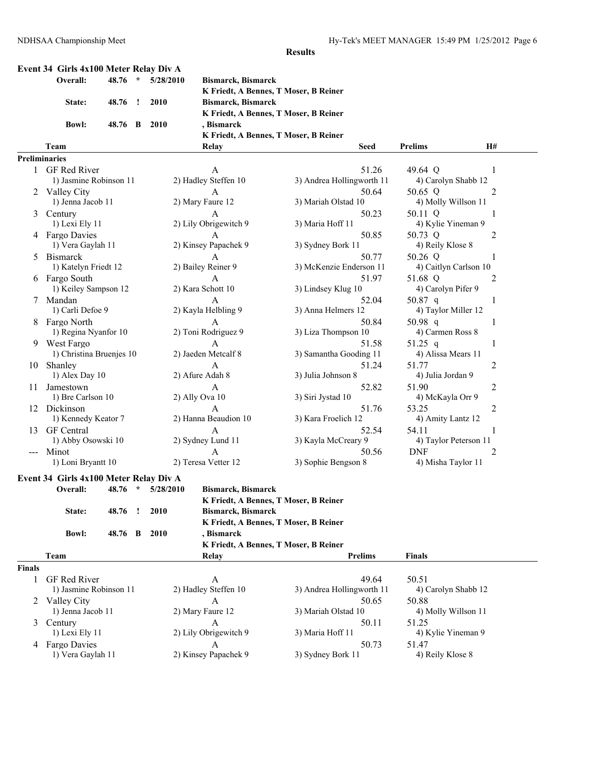|                     | Event 34 Girls 4x100 Meter Relay Div A |         |         |                   |                                       |                           |                       |                |
|---------------------|----------------------------------------|---------|---------|-------------------|---------------------------------------|---------------------------|-----------------------|----------------|
|                     | Overall:                               | 48.76   | $\star$ | 5/28/2010         | <b>Bismarck, Bismarck</b>             |                           |                       |                |
|                     |                                        |         |         |                   | K Friedt, A Bennes, T Moser, B Reiner |                           |                       |                |
|                     | State:                                 | 48.76   | Ţ       | 2010              | <b>Bismarck, Bismarck</b>             |                           |                       |                |
|                     |                                        |         |         |                   | K Friedt, A Bennes, T Moser, B Reiner |                           |                       |                |
|                     | <b>Bowl:</b>                           | 48.76 B |         | <b>2010</b>       | , Bismarck                            |                           |                       |                |
|                     |                                        |         |         |                   | K Friedt, A Bennes, T Moser, B Reiner |                           |                       |                |
|                     | Team                                   |         |         |                   | <b>Relay</b>                          | Seed                      | <b>Prelims</b>        | <b>H#</b>      |
| Preliminaries       |                                        |         |         |                   |                                       |                           |                       |                |
| 1                   | GF Red River                           |         |         |                   | A                                     | 51.26                     | 49.64 Q               | 1              |
|                     | 1) Jasmine Robinson 11                 |         |         |                   | 2) Hadley Steffen 10                  | 3) Andrea Hollingworth 11 | 4) Carolyn Shabb 12   |                |
|                     | 2 Valley City                          |         |         |                   | A                                     | 50.64                     | 50.65 Q               | 2              |
|                     | 1) Jenna Jacob 11                      |         |         |                   | 2) Mary Faure 12                      | 3) Mariah Olstad 10       | 4) Molly Willson 11   |                |
| 3                   | Century                                |         |         |                   | A                                     | 50.23                     | 50.11 Q               | 1              |
|                     | 1) Lexi Ely 11                         |         |         |                   | 2) Lily Obrigewitch 9                 | 3) Maria Hoff 11          | 4) Kylie Yineman 9    |                |
|                     | 4 Fargo Davies                         |         |         |                   | $\mathbf{A}$                          | 50.85                     | 50.73 Q               | $\overline{c}$ |
|                     | 1) Vera Gaylah 11                      |         |         |                   | 2) Kinsey Papachek 9                  | 3) Sydney Bork 11         | 4) Reily Klose 8      |                |
| 5                   | <b>Bismarck</b>                        |         |         |                   | A                                     | 50.77                     | 50.26 Q               |                |
|                     | 1) Katelyn Friedt 12                   |         |         |                   | 2) Bailey Reiner 9                    | 3) McKenzie Enderson 11   | 4) Caitlyn Carlson 10 |                |
|                     | 6 Fargo South                          |         |         |                   | A                                     | 51.97                     | 51.68 Q               | 2              |
|                     | 1) Keiley Sampson 12                   |         |         |                   | 2) Kara Schott 10                     | 3) Lindsey Klug 10        | 4) Carolyn Pifer 9    |                |
| 7                   | Mandan                                 |         |         |                   | $\mathsf{A}$                          | 52.04                     | 50.87 q               | 1              |
|                     | 1) Carli Defoe 9                       |         |         |                   | 2) Kayla Helbling 9                   | 3) Anna Helmers 12        | 4) Taylor Miller 12   |                |
| 8                   | Fargo North                            |         |         |                   | A                                     | 50.84                     | 50.98 $q$             | 1              |
|                     | 1) Regina Nyanfor 10                   |         |         |                   | 2) Toni Rodriguez 9                   | 3) Liza Thompson 10       | 4) Carmen Ross 8      |                |
| 9                   | West Fargo                             |         |         |                   | A                                     | 51.58                     | 51.25 q               | 1              |
|                     | 1) Christina Bruenjes 10               |         |         |                   | 2) Jaeden Metcalf 8                   | 3) Samantha Gooding 11    | 4) Alissa Mears 11    |                |
|                     | 10 Shanley                             |         |         |                   | A                                     | 51.24                     | 51.77                 | 2              |
|                     | 1) Alex Day 10                         |         |         |                   | 2) Afure Adah 8                       | 3) Julia Johnson 8        | 4) Julia Jordan 9     |                |
| 11                  | Jamestown                              |         |         |                   | A                                     | 52.82                     | 51.90                 | 2              |
|                     | 1) Bre Carlson 10                      |         |         |                   | 2) Ally Ova 10                        | 3) Siri Jystad 10         | 4) McKayla Orr 9      |                |
|                     | 12 Dickinson                           |         |         |                   | $\mathbf{A}$                          | 51.76                     | 53.25                 | $\overline{2}$ |
|                     | 1) Kennedy Keator 7                    |         |         |                   | 2) Hanna Beaudion 10                  | 3) Kara Froelich 12       | 4) Amity Lantz 12     |                |
| 13                  | <b>GF</b> Central                      |         |         |                   | A                                     | 52.54                     | 54.11                 |                |
|                     | 1) Abby Osowski 10                     |         |         |                   | 2) Sydney Lund 11                     | 3) Kayla McCreary 9       | 4) Taylor Peterson 11 |                |
| $\qquad \qquad - -$ | Minot                                  |         |         |                   | A                                     | 50.56                     | <b>DNF</b>            | 2              |
|                     | 1) Loni Bryantt 10                     |         |         |                   | 2) Teresa Vetter 12                   | 3) Sophie Bengson 8       | 4) Misha Taylor 11    |                |
|                     | Event 34 Girls 4x100 Meter Relay Div A |         |         |                   |                                       |                           |                       |                |
|                     | Overall:                               |         |         | 48.76 * 5/28/2010 | <b>Bismarck, Bismarck</b>             |                           |                       |                |
|                     |                                        |         |         |                   | K Friedt, A Bennes, T Moser, B Reiner |                           |                       |                |
|                     | State:                                 | 48.76   | 1       | 2010              | <b>Bismarck, Bismarck</b>             |                           |                       |                |
|                     |                                        |         |         |                   | K Friedt, A Bennes, T Moser, B Reiner |                           |                       |                |
|                     | <b>Bowl:</b>                           | 48.76 B |         | <b>2010</b>       | , Bismarck                            |                           |                       |                |
|                     |                                        |         |         |                   | K Friedt, A Bennes, T Moser, B Reiner |                           |                       |                |
|                     | Team                                   |         |         |                   | <b>Relay</b>                          | <b>Prelims</b>            | <b>Finals</b>         |                |
|                     |                                        |         |         |                   |                                       |                           |                       |                |
| <b>Finals</b>       |                                        |         |         |                   |                                       |                           |                       |                |
| 1                   | GF Red River                           |         |         |                   | $\mathbf{A}$                          | 49.64                     | 50.51                 |                |
|                     | 1) Jasmine Robinson 11                 |         |         |                   | 2) Hadley Steffen 10                  | 3) Andrea Hollingworth 11 | 4) Carolyn Shabb 12   |                |
|                     | 2 Valley City                          |         |         |                   | A                                     | 50.65                     | 50.88                 |                |
|                     | 1) Jenna Jacob 11                      |         |         |                   | 2) Mary Faure 12                      | 3) Mariah Olstad 10       | 4) Molly Willson 11   |                |
| 3                   | Century                                |         |         |                   | A                                     | 50.11                     | 51.25                 |                |
|                     | 1) Lexi Ely 11                         |         |         |                   | 2) Lily Obrigewitch 9                 | 3) Maria Hoff 11          | 4) Kylie Yineman 9    |                |
|                     | 4 Fargo Davies                         |         |         |                   | $\mathbf{A}$                          | 50.73                     | 51.47                 |                |
|                     | 1) Vera Gaylah 11                      |         |         |                   | 2) Kinsey Papachek 9                  | 3) Sydney Bork 11         | 4) Reily Klose 8      |                |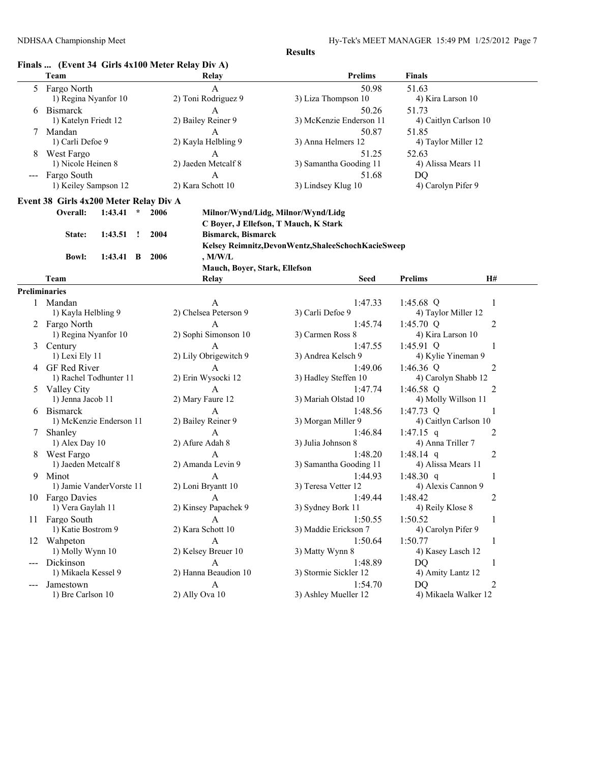# **Finals ... (Event 34 Girls 4x100 Meter Relay Div A)**

|               | Team                                      | Relay                                 | <b>Prelims</b>                                          | <b>Finals</b>         |
|---------------|-------------------------------------------|---------------------------------------|---------------------------------------------------------|-----------------------|
| 5             | Fargo North                               | A                                     | 50.98                                                   | 51.63                 |
|               | 1) Regina Nyanfor 10                      | 2) Toni Rodriguez 9                   | 3) Liza Thompson 10                                     | 4) Kira Larson 10     |
|               | 6 Bismarck                                | A                                     | 50.26                                                   | 51.73                 |
|               | 1) Katelyn Friedt 12                      | 2) Bailey Reiner 9                    | 3) McKenzie Enderson 11                                 | 4) Caitlyn Carlson 10 |
| 7             | Mandan                                    | A                                     | 50.87                                                   | 51.85                 |
|               | 1) Carli Defoe 9                          | 2) Kayla Helbling 9                   | 3) Anna Helmers 12                                      | 4) Taylor Miller 12   |
|               | 8 West Fargo                              | A                                     | 51.25                                                   | 52.63                 |
|               | 1) Nicole Heinen 8                        | 2) Jaeden Metcalf 8                   | 3) Samantha Gooding 11                                  | 4) Alissa Mears 11    |
|               | Fargo South                               | A                                     | 51.68                                                   | DQ                    |
|               | 1) Keiley Sampson 12                      | 2) Kara Schott 10                     | 3) Lindsey Klug 10                                      | 4) Carolyn Pifer 9    |
|               | Event 38 Girls 4x200 Meter Relay Div A    |                                       |                                                         |                       |
|               | 2006<br>Overall:<br>1:43.41<br>$\star$    |                                       | Milnor/Wynd/Lidg, Milnor/Wynd/Lidg                      |                       |
|               |                                           | C Boyer, J Ellefson, T Mauch, K Stark |                                                         |                       |
|               | 1:43.51<br>$\cdot$<br>2004<br>State:      | <b>Bismarck, Bismarck</b>             |                                                         |                       |
|               |                                           |                                       | Kelsey Reimnitz, Devon Wentz, Shalee Schoch Kacie Sweep |                       |
|               | 2006<br>$1:43.41 \quad B$<br><b>Bowl:</b> | ,M/W/L                                |                                                         |                       |
|               |                                           | Mauch, Boyer, Stark, Ellefson         |                                                         |                       |
|               | Team                                      | Relay                                 | <b>Seed</b>                                             | H#<br><b>Prelims</b>  |
|               | <b>Preliminaries</b>                      |                                       |                                                         |                       |
|               | 1 Mandan                                  | A                                     | 1:47.33                                                 | 1:45.68 $Q$<br>1      |
|               | 1) Kayla Helbling 9                       | 2) Chelsea Peterson 9                 | 3) Carli Defoe 9                                        | 4) Taylor Miller 12   |
|               | 2 Fargo North                             | A                                     | 1:45.74                                                 | 1:45.70 $Q$<br>2      |
|               | 1) Regina Nyanfor 10                      | 2) Sophi Simonson 10                  | 3) Carmen Ross 8                                        | 4) Kira Larson 10     |
| 3             | Century                                   | A                                     | 1:47.55                                                 | 1:45.91 $Q$<br>1      |
|               | 1) Lexi Ely 11                            | 2) Lily Obrigewitch 9                 | 3) Andrea Kelsch 9                                      | 4) Kylie Yineman 9    |
| 4             | GF Red River                              | A                                     | 1:49.06                                                 | 1:46.36 Q<br>2        |
|               | 1) Rachel Todhunter 11                    | 2) Erin Wysocki 12                    | 3) Hadley Steffen 10                                    | 4) Carolyn Shabb 12   |
| $\mathcal{D}$ | Valley City                               | A                                     | 1:47.74                                                 | 1:46.58 $Q$<br>2      |
|               | 1) Jenna Jacob 11                         | 2) Mary Faure 12                      | 3) Mariah Olstad 10                                     | 4) Molly Willson 11   |
|               | 6 Bismarck                                | A                                     | 1:48.56                                                 | 1:47.73 $Q$<br>1      |
|               | 1) McKenzie Enderson 11                   | 2) Bailey Reiner 9                    | 3) Morgan Miller 9                                      | 4) Caitlyn Carlson 10 |
| 7             | Shanley                                   | A                                     | 1:46.84                                                 | 1:47.15 q<br>2        |
|               | 1) Alex Day 10                            | 2) Afure Adah 8                       | 3) Julia Johnson 8                                      | 4) Anna Triller 7     |
| 8             | West Fargo                                | $\mathbf{A}$                          | 1:48.20                                                 | 1:48.14 q<br>2        |
|               | 1) Jaeden Metcalf 8                       | 2) Amanda Levin 9                     | 3) Samantha Gooding 11                                  | 4) Alissa Mears 11    |
| 9.            | Minot                                     | A                                     | 1:44.93                                                 | 1:48.30 $q$<br>1      |
|               | 1) Jamie VanderVorste 11                  | 2) Loni Bryantt 10                    | 3) Teresa Vetter 12                                     | 4) Alexis Cannon 9    |
|               | 10 Fargo Davies                           | A                                     | 1:49.44                                                 | 1:48.42<br>2          |
|               | 1) Vera Gaylah 11                         | 2) Kinsey Papachek 9                  | 3) Sydney Bork 11                                       | 4) Reily Klose 8      |
|               | 11 Fargo South                            | A                                     | 1:50.55                                                 | 1:50.52<br>1          |
|               | 1) Katie Bostrom 9                        | 2) Kara Schott 10                     | 3) Maddie Erickson 7                                    | 4) Carolyn Pifer 9    |
|               | 12 Wahpeton                               | A                                     | 1:50.64                                                 | 1:50.77<br>1          |
|               | 1) Molly Wynn 10                          | 2) Kelsey Breuer 10                   | 3) Matty Wynn 8                                         | 4) Kasey Lasch 12     |
| ---           | Dickinson                                 | A                                     | 1:48.89                                                 | DQ<br>1               |
|               | 1) Mikaela Kessel 9                       | 2) Hanna Beaudion 10                  | 3) Stormie Sickler 12                                   | 4) Amity Lantz 12     |
| ---           | Jamestown                                 | A                                     | 1:54.70                                                 | DQ<br>2               |
|               | 1) Bre Carlson 10                         | 2) Ally Ova 10                        | 3) Ashley Mueller 12                                    | 4) Mikaela Walker 12  |
|               |                                           |                                       |                                                         |                       |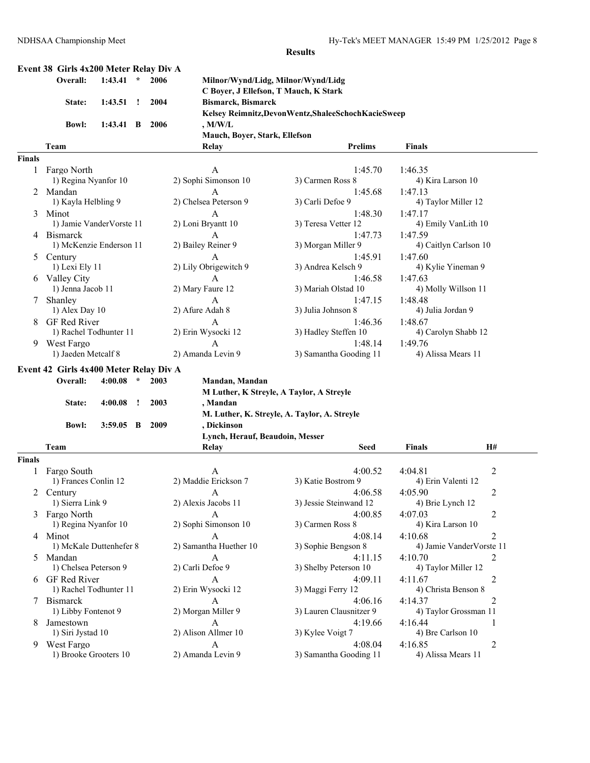### **Event 38 Girls 4x200 Meter Relay Div A**

| Overall: 1:43.41 * 2006 |                       |  |  |
|-------------------------|-----------------------|--|--|
|                         | State: 1:43.51 ! 2004 |  |  |
|                         | Bowl: 1:43.41 B 2006  |  |  |

**Overall: 1:43.41 \* 2006 Milnor/Wynd/Lidg, Milnor/Wynd/Lidg C Boyer, J Ellefson, T Mauch, K Stark State: 1:43.51 ! 2004 Bismarck, Bismarck Kelsey Reimnitz,DevonWentz,ShaleeSchochKacieSweep Bowl: 1:43.41 B 2006 , M/W/L Mauch, Boyer, Stark, Ellefson**

#### **Team Relay Prelims Finals Finals** 1 Fargo North A 1:45.70 1:46.35 1) Regina Nyanfor 10 2) Sophi Simonson 10 3) Carmen Ross 8 4) Kira Larson 10 2 Mandan A 1:45.68 1:47.13<br>1) Kayla Helbling 9 2) Chelsea Peterson 9 3) Carli Defoe 9 4) 1 1) Kayla Helbling 9 2) Chelsea Peterson 9 3) Carli Defoe 9 4) Taylor Miller 12 3 Minot **A** 1:48.30 1:47.17 1) Jamie VanderVorste 11 2) Loni Bryantt 10 3) Teresa Vetter 12 4) Emily VanLith 10 4 Bismarck A 1:47.73 1:47.59 1) McKenzie Enderson 11 2) Bailey Reiner 9 3) Morgan Miller 9 4) Caitlyn Carlson 10 5 Century A 1:45.91 1:47.60 1) Lexi Ely 11 2) Lily Obrigewitch 9 3) Andrea Kelsch 9 4) Kylie Yineman 9 6 Valley City A 1:46.58 1:47.63 1) Jenna Jacob 11 2) Mary Faure 12 3) Mariah Olstad 10 4) Molly Willson 11 7 Shanley A 1:47.15 1:48.48 1) Alex Day 10 2) Afure Adah 8 3) Julia Johnson 8 4) Julia Jordan 9 8 GF Red River A 1:46.36 1:48.67 1) Rachel Todhunter 11 2) Erin Wysocki 12 3) Hadley Steffen 10 4) Carolyn Shabb 12 9 West Fargo  $A$  1:48.14 1:49.76<br>1) Jaeden Metcalf 8 2) Amanda Levin 9 3) Samantha Gooding 11 4) A 2) Amanda Levin 9 3) Samantha Gooding 11 4) Alissa Mears 11

#### **Event 42 Girls 4x400 Meter Relay Div A**

| Overall:     | 4:00.08     | $\star$ | 2003  | Mandan, Mandan                               |
|--------------|-------------|---------|-------|----------------------------------------------|
|              |             |         |       | M Luther, K Streyle, A Taylor, A Streyle     |
| State:       | 4:00.08     |         | 2003  | , Mandan                                     |
|              |             |         |       | M. Luther, K. Streyle, A. Taylor, A. Streyle |
| <b>Bowl:</b> | $3:59.05$ B |         | -2009 | . Dickinson                                  |
|              |             |         |       | Lynch, Herauf, Beaudoin, Messer              |

|               | Team                    | Relay                  | <b>Seed</b>             | <b>Finals</b>         | <b>H#</b>                |
|---------------|-------------------------|------------------------|-------------------------|-----------------------|--------------------------|
| <b>Finals</b> |                         |                        |                         |                       |                          |
|               | Fargo South             | A                      | 4:00.52                 | 4:04.81               |                          |
|               | 1) Frances Conlin 12    | 2) Maddie Erickson 7   | 3) Katie Bostrom 9      | 4) Erin Valenti 12    |                          |
|               | Century                 | A                      | 4:06.58                 | 4:05.90               | $\overline{2}$           |
|               | 1) Sierra Link 9        | 2) Alexis Jacobs 11    | 3) Jessie Steinwand 12  | 4) Brie Lynch 12      |                          |
| 3             | Fargo North             | A                      | 4:00.85                 | 4:07.03               | 2                        |
|               | 1) Regina Nyanfor 10    | 2) Sophi Simonson 10   | 3) Carmen Ross 8        | 4) Kira Larson 10     |                          |
| 4             | Minot                   | A                      | 4:08.14                 | 4:10.68               | $\overline{2}$           |
|               | 1) McKale Duttenhefer 8 | 2) Samantha Huether 10 | 3) Sophie Bengson 8     |                       | 4) Jamie VanderVorste 11 |
|               | Mandan                  | A                      | 4:11.15                 | 4:10.70               |                          |
|               | 1) Chelsea Peterson 9   | 2) Carli Defoe 9       | 3) Shelby Peterson 10   | 4) Taylor Miller 12   |                          |
| 6             | <b>GF</b> Red River     | A                      | 4:09.11                 | 4:11.67               |                          |
|               | 1) Rachel Todhunter 11  | 2) Erin Wysocki 12     | 3) Maggi Ferry 12       | 4) Christa Benson 8   |                          |
|               | <b>Bismarck</b>         | $\mathsf{A}$           | 4:06.16                 | 4:14.37               |                          |
|               | 1) Libby Fontenot 9     | 2) Morgan Miller 9     | 3) Lauren Clausnitzer 9 | 4) Taylor Grossman 11 |                          |
| 8             | Jamestown               | A                      | 4:19.66                 | 4:16.44               |                          |
|               | 1) Siri Jystad 10       | 2) Alison Allmer 10    | 3) Kylee Voigt 7        | 4) Bre Carlson 10     |                          |
| 9             | West Fargo              | A                      | 4:08.04                 | 4:16.85               |                          |
|               | 1) Brooke Grooters 10   | 2) Amanda Levin 9      | 3) Samantha Gooding 11  | 4) Alissa Mears 11    |                          |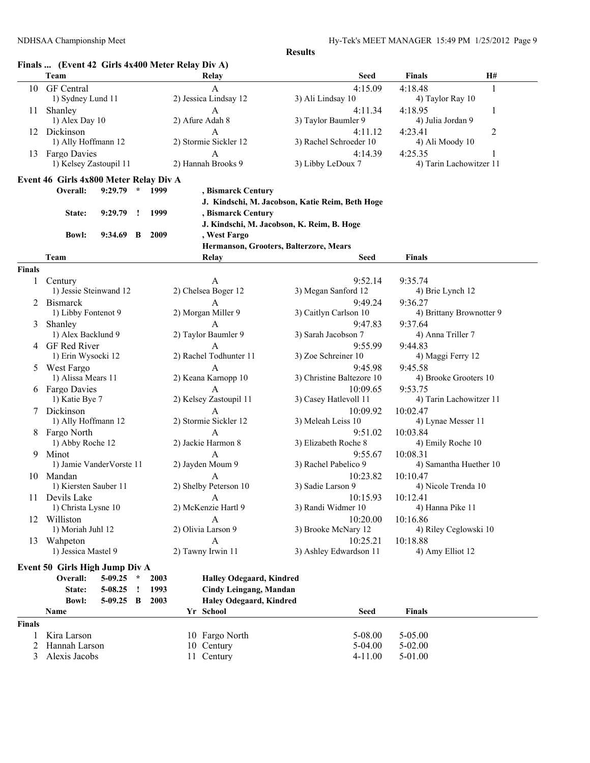# **Finals ... (Event 42 Girls 4x400 Meter Relay Div A)**

|                    | Team                                          |             |         |      | Finals  (Event 42 Girls 4x400 Meter Relay Div A)<br>Relay | <b>Seed</b>                                     | <b>Finals</b>            | H#             |
|--------------------|-----------------------------------------------|-------------|---------|------|-----------------------------------------------------------|-------------------------------------------------|--------------------------|----------------|
| 10                 | <b>GF</b> Central                             |             |         |      | A                                                         | 4:15.09                                         | 4:18.48                  | 1              |
|                    | 1) Sydney Lund 11                             |             |         |      | 2) Jessica Lindsay 12                                     | 3) Ali Lindsay 10                               | 4) Taylor Ray 10         |                |
| 11                 | Shanley                                       |             |         |      | A                                                         | 4:11.34                                         | 4:18.95                  | 1              |
|                    | 1) Alex Day 10                                |             |         |      | 2) Afure Adah 8                                           | 3) Taylor Baumler 9                             | 4) Julia Jordan 9        |                |
|                    | 12 Dickinson                                  |             |         |      | A                                                         |                                                 |                          |                |
|                    | 1) Ally Hoffmann 12                           |             |         |      | 2) Stormie Sickler 12                                     | 4:11.12<br>3) Rachel Schroeder 10               | 4:23.41                  | $\overline{c}$ |
|                    |                                               |             |         |      |                                                           |                                                 | 4) Ali Moody 10          |                |
| 13                 | <b>Fargo Davies</b><br>1) Kelsey Zastoupil 11 |             |         |      | A<br>2) Hannah Brooks 9                                   | 4:14.39                                         | 4:25.35                  | 1              |
|                    |                                               |             |         |      |                                                           | 3) Libby LeDoux 7                               | 4) Tarin Lachowitzer 11  |                |
|                    | Event 46 Girls 4x800 Meter Relay Div A        |             |         |      |                                                           |                                                 |                          |                |
|                    | Overall:                                      | 9:29.79     | $\star$ | 1999 | , Bismarck Century                                        |                                                 |                          |                |
|                    |                                               |             |         |      |                                                           | J. Kindschi, M. Jacobson, Katie Reim, Beth Hoge |                          |                |
|                    | State:                                        | 9:29.79     | $\cdot$ | 1999 | , Bismarck Century                                        |                                                 |                          |                |
|                    |                                               |             |         |      |                                                           | J. Kindschi, M. Jacobson, K. Reim, B. Hoge      |                          |                |
|                    | <b>Bowl:</b>                                  | $9:34.69$ B |         | 2009 | , West Fargo                                              |                                                 |                          |                |
|                    |                                               |             |         |      |                                                           | Hermanson, Grooters, Balterzore, Mears          |                          |                |
|                    | Team                                          |             |         |      | Relay                                                     | Seed                                            | <b>Finals</b>            |                |
| <b>Finals</b>      |                                               |             |         |      |                                                           |                                                 |                          |                |
| 1                  | Century                                       |             |         |      | A                                                         | 9:52.14                                         | 9:35.74                  |                |
|                    | 1) Jessie Steinwand 12                        |             |         |      | 2) Chelsea Boger 12                                       | 3) Megan Sanford 12                             | 4) Brie Lynch 12         |                |
|                    | <b>Bismarck</b>                               |             |         |      | A                                                         | 9:49.24                                         | 9:36.27                  |                |
|                    | 1) Libby Fontenot 9                           |             |         |      | 2) Morgan Miller 9                                        | 3) Caitlyn Carlson 10                           | 4) Brittany Brownotter 9 |                |
| 3                  | Shanley                                       |             |         |      | $\mathsf{A}$                                              | 9:47.83                                         | 9:37.64                  |                |
|                    | 1) Alex Backlund 9                            |             |         |      | 2) Taylor Baumler 9                                       | 3) Sarah Jacobson 7                             | 4) Anna Triller 7        |                |
| 4                  | GF Red River                                  |             |         |      | $\mathsf{A}$                                              | 9:55.99                                         | 9:44.83                  |                |
|                    | 1) Erin Wysocki 12                            |             |         |      | 2) Rachel Todhunter 11                                    | 3) Zoe Schreiner 10                             | 4) Maggi Ferry 12        |                |
| 5                  | West Fargo                                    |             |         |      | A                                                         | 9:45.98                                         | 9:45.58                  |                |
|                    | 1) Alissa Mears 11                            |             |         |      | 2) Keana Karnopp 10                                       | 3) Christine Baltezore 10                       | 4) Brooke Grooters 10    |                |
|                    | 6 Fargo Davies                                |             |         |      | A                                                         | 10:09.65                                        | 9:53.75                  |                |
|                    | 1) Katie Bye 7                                |             |         |      | 2) Kelsey Zastoupil 11                                    | 3) Casey Hatlevoll 11                           | 4) Tarin Lachowitzer 11  |                |
| 7                  | Dickinson                                     |             |         |      | A                                                         | 10:09.92                                        | 10:02.47                 |                |
|                    | 1) Ally Hoffmann 12                           |             |         |      | 2) Stormie Sickler 12                                     | 3) Meleah Leiss 10                              | 4) Lynae Messer 11       |                |
| 8                  | Fargo North                                   |             |         |      | $\mathbf{A}$                                              | 9:51.02                                         | 10:03.84                 |                |
|                    | 1) Abby Roche 12                              |             |         |      | 2) Jackie Harmon 8                                        | 3) Elizabeth Roche 8                            | 4) Emily Roche 10        |                |
| 9.                 | Minot                                         |             |         |      | A                                                         | 9:55.67                                         | 10:08.31                 |                |
|                    | 1) Jamie VanderVorste 11                      |             |         |      | 2) Jayden Moum 9                                          | 3) Rachel Pabelico 9                            | 4) Samantha Huether 10   |                |
|                    | 10 Mandan                                     |             |         |      | A                                                         | 10:23.82                                        | 10:10.47                 |                |
|                    | 1) Kiersten Sauber 11                         |             |         |      | 2) Shelby Peterson 10                                     | 3) Sadie Larson 9                               | 4) Nicole Trenda 10      |                |
|                    | 11 Devils Lake                                |             |         |      | $\mathbf{A}$                                              | 10:15.93                                        | 10:12.41                 |                |
|                    | 1) Christa Lysne 10                           |             |         |      | 2) McKenzie Hartl 9                                       | 3) Randi Widmer 10                              | 4) Hanna Pike 11         |                |
| 12                 | Williston                                     |             |         |      | A                                                         | 10:20.00                                        | 10:16.86                 |                |
|                    | 1) Moriah Juhl 12                             |             |         |      | 2) Olivia Larson 9                                        | 3) Brooke McNary 12                             | 4) Riley Ceglowski 10    |                |
| 13                 | Wahpeton                                      |             |         |      | $\mathbf{A}$                                              | 10:25.21                                        | 10:18.88                 |                |
|                    | 1) Jessica Mastel 9                           |             |         |      | 2) Tawny Irwin 11                                         | 3) Ashley Edwardson 11                          | 4) Amy Elliot 12         |                |
|                    |                                               |             |         |      |                                                           |                                                 |                          |                |
|                    | Event 50 Girls High Jump Div A                |             |         |      |                                                           |                                                 |                          |                |
|                    | Overall:                                      | $5-09.25$   | $\star$ | 2003 | <b>Halley Odegaard, Kindred</b>                           |                                                 |                          |                |
|                    | State:                                        | 5-08.25     | $\cdot$ | 1993 | <b>Cindy Leingang, Mandan</b>                             |                                                 |                          |                |
|                    | <b>Bowl:</b>                                  | 5-09.25     | B       | 2003 | Haley Odegaard, Kindred                                   |                                                 |                          |                |
|                    | Name                                          |             |         |      | Yr School                                                 | <b>Seed</b>                                     | <b>Finals</b>            |                |
|                    |                                               |             |         |      |                                                           |                                                 |                          |                |
|                    |                                               |             |         |      |                                                           |                                                 | 5-05.00                  |                |
| 1                  |                                               |             |         |      |                                                           |                                                 |                          |                |
| <b>Finals</b><br>2 | Kira Larson<br>Hannah Larson                  |             |         |      | 10 Fargo North<br>10 Century                              | 5-08.00<br>5-04.00                              | $5 - 02.00$              |                |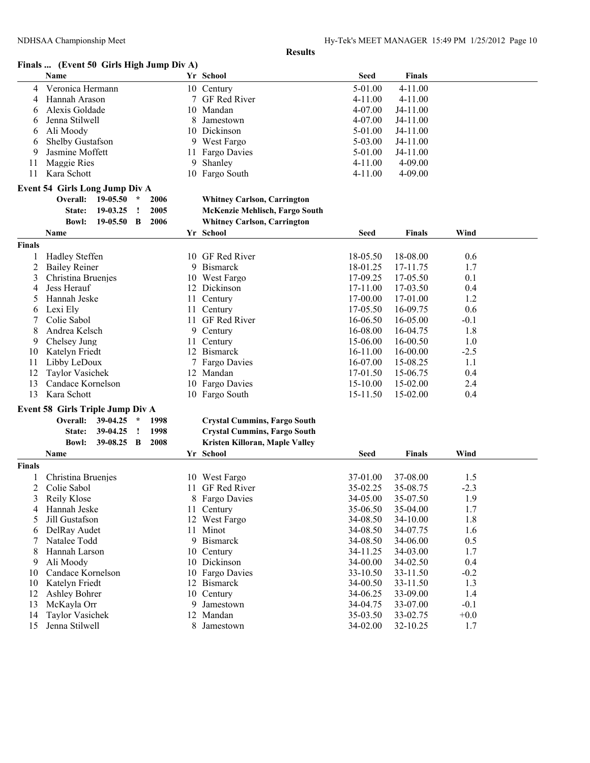## **Finals ... (Event 50 Girls High Jump Div A)**

| 5-01.00<br>4-11.00<br>Veronica Hermann<br>10 Century<br>4<br>Hannah Arason<br>7 GF Red River<br>$4 - 11.00$<br>$4 - 11.00$<br>4<br>Alexis Goldade<br>10 Mandan<br>4-07.00<br>J4-11.00<br>6<br>Jenna Stilwell<br>4-07.00<br>Jamestown<br>J4-11.00<br>8<br>6<br>Ali Moody<br>10 Dickinson<br>5-01.00<br>J4-11.00<br>6<br>5-03.00<br>Shelby Gustafson<br>9 West Fargo<br>J4-11.00<br>6<br>5-01.00<br>Jasmine Moffett<br>11 Fargo Davies<br>J4-11.00<br>9<br>Maggie Ries<br>9 Shanley<br>4-11.00<br>$4 - 09.00$<br>11<br>11<br>Kara Schott<br>10 Fargo South<br>4-11.00<br>4-09.00<br><b>Event 54 Girls Long Jump Div A</b><br>Overall:<br>19-05.50<br>$\star$<br>2006<br><b>Whitney Carlson, Carrington</b><br>19-03.25<br>2005<br>McKenzie Mehlisch, Fargo South<br>State:<br>÷<br>2006<br><b>Whitney Carlson, Carrington</b><br><b>Bowl:</b><br>19-05.50<br>B<br>Yr School<br>Wind<br>Name<br><b>Seed</b><br><b>Finals</b><br><b>Finals</b><br><b>Hadley Steffen</b><br>10 GF Red River<br>18-05.50<br>18-08.00<br>0.6<br>2<br><b>Bailey Reiner</b><br>9 Bismarck<br>18-01.25<br>17-11.75<br>1.7<br>Christina Bruenjes<br>17-09.25<br>17-05.50<br>0.1<br>10 West Fargo<br>3<br>Jess Herauf<br>12 Dickinson<br>17-11.00<br>17-03.50<br>0.4<br>4<br>1.2<br>Hannah Jeske<br>11 Century<br>17-00.00<br>17-01.00<br>5<br>Lexi Ely<br>17-05.50<br>16-09.75<br>0.6<br>11 Century<br>6<br>Colie Sabol<br>11 GF Red River<br>16-06.50<br>16-05.00<br>$-0.1$<br>7<br>Andrea Kelsch<br>16-08.00<br>1.8<br>8<br>9 Century<br>16-04.75<br>11 Century<br>15-06.00<br>16-00.50<br>1.0<br>9<br>Chelsey Jung<br><b>Bismarck</b><br>Katelyn Friedt<br>16-11.00<br>16-00.00<br>$-2.5$<br>10<br>12<br>11<br>Libby LeDoux<br><b>Fargo Davies</b><br>16-07.00<br>15-08.25<br>1.1<br>7<br>12<br><b>Taylor Vasichek</b><br>12 Mandan<br>17-01.50<br>15-06.75<br>0.4<br>10 Fargo Davies<br>13<br>Candace Kornelson<br>15-10.00<br>15-02.00<br>2.4<br>13<br>Kara Schott<br>15-02.00<br>0.4<br>10 Fargo South<br>15-11.50<br><b>Event 58 Girls Triple Jump Div A</b><br>Overall:<br>39-04.25<br><b>Crystal Cummins, Fargo South</b><br>$\star$<br>1998<br><b>Crystal Cummins, Fargo South</b><br>39-04.25<br>1998<br>State:<br>$\mathbf{I}$<br>2008<br>Kristen Killoran, Maple Valley<br><b>Bowl:</b><br>39-08.25<br>B<br>Yr School<br>Wind<br><b>Seed</b><br><b>Finals</b><br>Name<br><b>Finals</b><br>Christina Bruenjes<br>37-08.00<br>1.5<br>10 West Fargo<br>37-01.00<br>2<br>Colie Sabol<br>11 GF Red River<br>35-02.25<br>35-08.75<br>$-2.3$<br>34-05.00<br>35-07.50<br>1.9<br>3<br>Reily Klose<br>8 Fargo Davies<br>Hannah Jeske<br>11 Century<br>35-06.50<br>35-04.00<br>1.7<br>4<br>1.8<br>Jill Gustafson<br>12 West Fargo<br>34-08.50<br>34-10.00<br>5<br>11 Minot<br>DelRay Audet<br>34-08.50<br>34-07.75<br>1.6<br>6<br>9 Bismarck<br>Natalee Todd<br>34-08.50<br>34-06.00<br>0.5<br>Hannah Larson<br>10 Century<br>34-03.00<br>1.7<br>8<br>34-11.25<br>Ali Moody<br>10 Dickinson<br>34-00.00<br>34-02.50<br>0.4<br>9<br>Candace Kornelson<br>10 Fargo Davies<br>33-11.50<br>33-10.50<br>$-0.2$<br>10<br>Katelyn Friedt<br>12 Bismarck<br>33-11.50<br>1.3<br>10<br>34-00.50<br>12<br><b>Ashley Bohrer</b><br>10 Century<br>34-06.25<br>33-09.00<br>1.4<br>13<br>McKayla Orr<br>9 Jamestown<br>34-04.75<br>33-07.00<br>$-0.1$<br><b>Taylor Vasichek</b><br>12 Mandan<br>35-03.50<br>33-02.75<br>$+0.0$<br>14 |    | Name           |  |  |  | Yr School | <b>Seed</b> | <b>Finals</b> |     |  |
|----------------------------------------------------------------------------------------------------------------------------------------------------------------------------------------------------------------------------------------------------------------------------------------------------------------------------------------------------------------------------------------------------------------------------------------------------------------------------------------------------------------------------------------------------------------------------------------------------------------------------------------------------------------------------------------------------------------------------------------------------------------------------------------------------------------------------------------------------------------------------------------------------------------------------------------------------------------------------------------------------------------------------------------------------------------------------------------------------------------------------------------------------------------------------------------------------------------------------------------------------------------------------------------------------------------------------------------------------------------------------------------------------------------------------------------------------------------------------------------------------------------------------------------------------------------------------------------------------------------------------------------------------------------------------------------------------------------------------------------------------------------------------------------------------------------------------------------------------------------------------------------------------------------------------------------------------------------------------------------------------------------------------------------------------------------------------------------------------------------------------------------------------------------------------------------------------------------------------------------------------------------------------------------------------------------------------------------------------------------------------------------------------------------------------------------------------------------------------------------------------------------------------------------------------------------------------------------------------------------------------------------------------------------------------------------------------------------------------------------------------------------------------------------------------------------------------------------------------------------------------------------------------------------------------------------------------------------------------------------------------------------------------------------------------------------------------------------------------------------------------------------------------------------------------------------------------------------------------------------------------------------------------------------------------------------------------------------------------------------------------------------------|----|----------------|--|--|--|-----------|-------------|---------------|-----|--|
|                                                                                                                                                                                                                                                                                                                                                                                                                                                                                                                                                                                                                                                                                                                                                                                                                                                                                                                                                                                                                                                                                                                                                                                                                                                                                                                                                                                                                                                                                                                                                                                                                                                                                                                                                                                                                                                                                                                                                                                                                                                                                                                                                                                                                                                                                                                                                                                                                                                                                                                                                                                                                                                                                                                                                                                                                                                                                                                                                                                                                                                                                                                                                                                                                                                                                                                                                                                              |    |                |  |  |  |           |             |               |     |  |
|                                                                                                                                                                                                                                                                                                                                                                                                                                                                                                                                                                                                                                                                                                                                                                                                                                                                                                                                                                                                                                                                                                                                                                                                                                                                                                                                                                                                                                                                                                                                                                                                                                                                                                                                                                                                                                                                                                                                                                                                                                                                                                                                                                                                                                                                                                                                                                                                                                                                                                                                                                                                                                                                                                                                                                                                                                                                                                                                                                                                                                                                                                                                                                                                                                                                                                                                                                                              |    |                |  |  |  |           |             |               |     |  |
|                                                                                                                                                                                                                                                                                                                                                                                                                                                                                                                                                                                                                                                                                                                                                                                                                                                                                                                                                                                                                                                                                                                                                                                                                                                                                                                                                                                                                                                                                                                                                                                                                                                                                                                                                                                                                                                                                                                                                                                                                                                                                                                                                                                                                                                                                                                                                                                                                                                                                                                                                                                                                                                                                                                                                                                                                                                                                                                                                                                                                                                                                                                                                                                                                                                                                                                                                                                              |    |                |  |  |  |           |             |               |     |  |
|                                                                                                                                                                                                                                                                                                                                                                                                                                                                                                                                                                                                                                                                                                                                                                                                                                                                                                                                                                                                                                                                                                                                                                                                                                                                                                                                                                                                                                                                                                                                                                                                                                                                                                                                                                                                                                                                                                                                                                                                                                                                                                                                                                                                                                                                                                                                                                                                                                                                                                                                                                                                                                                                                                                                                                                                                                                                                                                                                                                                                                                                                                                                                                                                                                                                                                                                                                                              |    |                |  |  |  |           |             |               |     |  |
|                                                                                                                                                                                                                                                                                                                                                                                                                                                                                                                                                                                                                                                                                                                                                                                                                                                                                                                                                                                                                                                                                                                                                                                                                                                                                                                                                                                                                                                                                                                                                                                                                                                                                                                                                                                                                                                                                                                                                                                                                                                                                                                                                                                                                                                                                                                                                                                                                                                                                                                                                                                                                                                                                                                                                                                                                                                                                                                                                                                                                                                                                                                                                                                                                                                                                                                                                                                              |    |                |  |  |  |           |             |               |     |  |
|                                                                                                                                                                                                                                                                                                                                                                                                                                                                                                                                                                                                                                                                                                                                                                                                                                                                                                                                                                                                                                                                                                                                                                                                                                                                                                                                                                                                                                                                                                                                                                                                                                                                                                                                                                                                                                                                                                                                                                                                                                                                                                                                                                                                                                                                                                                                                                                                                                                                                                                                                                                                                                                                                                                                                                                                                                                                                                                                                                                                                                                                                                                                                                                                                                                                                                                                                                                              |    |                |  |  |  |           |             |               |     |  |
|                                                                                                                                                                                                                                                                                                                                                                                                                                                                                                                                                                                                                                                                                                                                                                                                                                                                                                                                                                                                                                                                                                                                                                                                                                                                                                                                                                                                                                                                                                                                                                                                                                                                                                                                                                                                                                                                                                                                                                                                                                                                                                                                                                                                                                                                                                                                                                                                                                                                                                                                                                                                                                                                                                                                                                                                                                                                                                                                                                                                                                                                                                                                                                                                                                                                                                                                                                                              |    |                |  |  |  |           |             |               |     |  |
|                                                                                                                                                                                                                                                                                                                                                                                                                                                                                                                                                                                                                                                                                                                                                                                                                                                                                                                                                                                                                                                                                                                                                                                                                                                                                                                                                                                                                                                                                                                                                                                                                                                                                                                                                                                                                                                                                                                                                                                                                                                                                                                                                                                                                                                                                                                                                                                                                                                                                                                                                                                                                                                                                                                                                                                                                                                                                                                                                                                                                                                                                                                                                                                                                                                                                                                                                                                              |    |                |  |  |  |           |             |               |     |  |
|                                                                                                                                                                                                                                                                                                                                                                                                                                                                                                                                                                                                                                                                                                                                                                                                                                                                                                                                                                                                                                                                                                                                                                                                                                                                                                                                                                                                                                                                                                                                                                                                                                                                                                                                                                                                                                                                                                                                                                                                                                                                                                                                                                                                                                                                                                                                                                                                                                                                                                                                                                                                                                                                                                                                                                                                                                                                                                                                                                                                                                                                                                                                                                                                                                                                                                                                                                                              |    |                |  |  |  |           |             |               |     |  |
|                                                                                                                                                                                                                                                                                                                                                                                                                                                                                                                                                                                                                                                                                                                                                                                                                                                                                                                                                                                                                                                                                                                                                                                                                                                                                                                                                                                                                                                                                                                                                                                                                                                                                                                                                                                                                                                                                                                                                                                                                                                                                                                                                                                                                                                                                                                                                                                                                                                                                                                                                                                                                                                                                                                                                                                                                                                                                                                                                                                                                                                                                                                                                                                                                                                                                                                                                                                              |    |                |  |  |  |           |             |               |     |  |
|                                                                                                                                                                                                                                                                                                                                                                                                                                                                                                                                                                                                                                                                                                                                                                                                                                                                                                                                                                                                                                                                                                                                                                                                                                                                                                                                                                                                                                                                                                                                                                                                                                                                                                                                                                                                                                                                                                                                                                                                                                                                                                                                                                                                                                                                                                                                                                                                                                                                                                                                                                                                                                                                                                                                                                                                                                                                                                                                                                                                                                                                                                                                                                                                                                                                                                                                                                                              |    |                |  |  |  |           |             |               |     |  |
|                                                                                                                                                                                                                                                                                                                                                                                                                                                                                                                                                                                                                                                                                                                                                                                                                                                                                                                                                                                                                                                                                                                                                                                                                                                                                                                                                                                                                                                                                                                                                                                                                                                                                                                                                                                                                                                                                                                                                                                                                                                                                                                                                                                                                                                                                                                                                                                                                                                                                                                                                                                                                                                                                                                                                                                                                                                                                                                                                                                                                                                                                                                                                                                                                                                                                                                                                                                              |    |                |  |  |  |           |             |               |     |  |
|                                                                                                                                                                                                                                                                                                                                                                                                                                                                                                                                                                                                                                                                                                                                                                                                                                                                                                                                                                                                                                                                                                                                                                                                                                                                                                                                                                                                                                                                                                                                                                                                                                                                                                                                                                                                                                                                                                                                                                                                                                                                                                                                                                                                                                                                                                                                                                                                                                                                                                                                                                                                                                                                                                                                                                                                                                                                                                                                                                                                                                                                                                                                                                                                                                                                                                                                                                                              |    |                |  |  |  |           |             |               |     |  |
|                                                                                                                                                                                                                                                                                                                                                                                                                                                                                                                                                                                                                                                                                                                                                                                                                                                                                                                                                                                                                                                                                                                                                                                                                                                                                                                                                                                                                                                                                                                                                                                                                                                                                                                                                                                                                                                                                                                                                                                                                                                                                                                                                                                                                                                                                                                                                                                                                                                                                                                                                                                                                                                                                                                                                                                                                                                                                                                                                                                                                                                                                                                                                                                                                                                                                                                                                                                              |    |                |  |  |  |           |             |               |     |  |
|                                                                                                                                                                                                                                                                                                                                                                                                                                                                                                                                                                                                                                                                                                                                                                                                                                                                                                                                                                                                                                                                                                                                                                                                                                                                                                                                                                                                                                                                                                                                                                                                                                                                                                                                                                                                                                                                                                                                                                                                                                                                                                                                                                                                                                                                                                                                                                                                                                                                                                                                                                                                                                                                                                                                                                                                                                                                                                                                                                                                                                                                                                                                                                                                                                                                                                                                                                                              |    |                |  |  |  |           |             |               |     |  |
|                                                                                                                                                                                                                                                                                                                                                                                                                                                                                                                                                                                                                                                                                                                                                                                                                                                                                                                                                                                                                                                                                                                                                                                                                                                                                                                                                                                                                                                                                                                                                                                                                                                                                                                                                                                                                                                                                                                                                                                                                                                                                                                                                                                                                                                                                                                                                                                                                                                                                                                                                                                                                                                                                                                                                                                                                                                                                                                                                                                                                                                                                                                                                                                                                                                                                                                                                                                              |    |                |  |  |  |           |             |               |     |  |
|                                                                                                                                                                                                                                                                                                                                                                                                                                                                                                                                                                                                                                                                                                                                                                                                                                                                                                                                                                                                                                                                                                                                                                                                                                                                                                                                                                                                                                                                                                                                                                                                                                                                                                                                                                                                                                                                                                                                                                                                                                                                                                                                                                                                                                                                                                                                                                                                                                                                                                                                                                                                                                                                                                                                                                                                                                                                                                                                                                                                                                                                                                                                                                                                                                                                                                                                                                                              |    |                |  |  |  |           |             |               |     |  |
|                                                                                                                                                                                                                                                                                                                                                                                                                                                                                                                                                                                                                                                                                                                                                                                                                                                                                                                                                                                                                                                                                                                                                                                                                                                                                                                                                                                                                                                                                                                                                                                                                                                                                                                                                                                                                                                                                                                                                                                                                                                                                                                                                                                                                                                                                                                                                                                                                                                                                                                                                                                                                                                                                                                                                                                                                                                                                                                                                                                                                                                                                                                                                                                                                                                                                                                                                                                              |    |                |  |  |  |           |             |               |     |  |
|                                                                                                                                                                                                                                                                                                                                                                                                                                                                                                                                                                                                                                                                                                                                                                                                                                                                                                                                                                                                                                                                                                                                                                                                                                                                                                                                                                                                                                                                                                                                                                                                                                                                                                                                                                                                                                                                                                                                                                                                                                                                                                                                                                                                                                                                                                                                                                                                                                                                                                                                                                                                                                                                                                                                                                                                                                                                                                                                                                                                                                                                                                                                                                                                                                                                                                                                                                                              |    |                |  |  |  |           |             |               |     |  |
|                                                                                                                                                                                                                                                                                                                                                                                                                                                                                                                                                                                                                                                                                                                                                                                                                                                                                                                                                                                                                                                                                                                                                                                                                                                                                                                                                                                                                                                                                                                                                                                                                                                                                                                                                                                                                                                                                                                                                                                                                                                                                                                                                                                                                                                                                                                                                                                                                                                                                                                                                                                                                                                                                                                                                                                                                                                                                                                                                                                                                                                                                                                                                                                                                                                                                                                                                                                              |    |                |  |  |  |           |             |               |     |  |
|                                                                                                                                                                                                                                                                                                                                                                                                                                                                                                                                                                                                                                                                                                                                                                                                                                                                                                                                                                                                                                                                                                                                                                                                                                                                                                                                                                                                                                                                                                                                                                                                                                                                                                                                                                                                                                                                                                                                                                                                                                                                                                                                                                                                                                                                                                                                                                                                                                                                                                                                                                                                                                                                                                                                                                                                                                                                                                                                                                                                                                                                                                                                                                                                                                                                                                                                                                                              |    |                |  |  |  |           |             |               |     |  |
|                                                                                                                                                                                                                                                                                                                                                                                                                                                                                                                                                                                                                                                                                                                                                                                                                                                                                                                                                                                                                                                                                                                                                                                                                                                                                                                                                                                                                                                                                                                                                                                                                                                                                                                                                                                                                                                                                                                                                                                                                                                                                                                                                                                                                                                                                                                                                                                                                                                                                                                                                                                                                                                                                                                                                                                                                                                                                                                                                                                                                                                                                                                                                                                                                                                                                                                                                                                              |    |                |  |  |  |           |             |               |     |  |
|                                                                                                                                                                                                                                                                                                                                                                                                                                                                                                                                                                                                                                                                                                                                                                                                                                                                                                                                                                                                                                                                                                                                                                                                                                                                                                                                                                                                                                                                                                                                                                                                                                                                                                                                                                                                                                                                                                                                                                                                                                                                                                                                                                                                                                                                                                                                                                                                                                                                                                                                                                                                                                                                                                                                                                                                                                                                                                                                                                                                                                                                                                                                                                                                                                                                                                                                                                                              |    |                |  |  |  |           |             |               |     |  |
|                                                                                                                                                                                                                                                                                                                                                                                                                                                                                                                                                                                                                                                                                                                                                                                                                                                                                                                                                                                                                                                                                                                                                                                                                                                                                                                                                                                                                                                                                                                                                                                                                                                                                                                                                                                                                                                                                                                                                                                                                                                                                                                                                                                                                                                                                                                                                                                                                                                                                                                                                                                                                                                                                                                                                                                                                                                                                                                                                                                                                                                                                                                                                                                                                                                                                                                                                                                              |    |                |  |  |  |           |             |               |     |  |
|                                                                                                                                                                                                                                                                                                                                                                                                                                                                                                                                                                                                                                                                                                                                                                                                                                                                                                                                                                                                                                                                                                                                                                                                                                                                                                                                                                                                                                                                                                                                                                                                                                                                                                                                                                                                                                                                                                                                                                                                                                                                                                                                                                                                                                                                                                                                                                                                                                                                                                                                                                                                                                                                                                                                                                                                                                                                                                                                                                                                                                                                                                                                                                                                                                                                                                                                                                                              |    |                |  |  |  |           |             |               |     |  |
|                                                                                                                                                                                                                                                                                                                                                                                                                                                                                                                                                                                                                                                                                                                                                                                                                                                                                                                                                                                                                                                                                                                                                                                                                                                                                                                                                                                                                                                                                                                                                                                                                                                                                                                                                                                                                                                                                                                                                                                                                                                                                                                                                                                                                                                                                                                                                                                                                                                                                                                                                                                                                                                                                                                                                                                                                                                                                                                                                                                                                                                                                                                                                                                                                                                                                                                                                                                              |    |                |  |  |  |           |             |               |     |  |
|                                                                                                                                                                                                                                                                                                                                                                                                                                                                                                                                                                                                                                                                                                                                                                                                                                                                                                                                                                                                                                                                                                                                                                                                                                                                                                                                                                                                                                                                                                                                                                                                                                                                                                                                                                                                                                                                                                                                                                                                                                                                                                                                                                                                                                                                                                                                                                                                                                                                                                                                                                                                                                                                                                                                                                                                                                                                                                                                                                                                                                                                                                                                                                                                                                                                                                                                                                                              |    |                |  |  |  |           |             |               |     |  |
|                                                                                                                                                                                                                                                                                                                                                                                                                                                                                                                                                                                                                                                                                                                                                                                                                                                                                                                                                                                                                                                                                                                                                                                                                                                                                                                                                                                                                                                                                                                                                                                                                                                                                                                                                                                                                                                                                                                                                                                                                                                                                                                                                                                                                                                                                                                                                                                                                                                                                                                                                                                                                                                                                                                                                                                                                                                                                                                                                                                                                                                                                                                                                                                                                                                                                                                                                                                              |    |                |  |  |  |           |             |               |     |  |
|                                                                                                                                                                                                                                                                                                                                                                                                                                                                                                                                                                                                                                                                                                                                                                                                                                                                                                                                                                                                                                                                                                                                                                                                                                                                                                                                                                                                                                                                                                                                                                                                                                                                                                                                                                                                                                                                                                                                                                                                                                                                                                                                                                                                                                                                                                                                                                                                                                                                                                                                                                                                                                                                                                                                                                                                                                                                                                                                                                                                                                                                                                                                                                                                                                                                                                                                                                                              |    |                |  |  |  |           |             |               |     |  |
|                                                                                                                                                                                                                                                                                                                                                                                                                                                                                                                                                                                                                                                                                                                                                                                                                                                                                                                                                                                                                                                                                                                                                                                                                                                                                                                                                                                                                                                                                                                                                                                                                                                                                                                                                                                                                                                                                                                                                                                                                                                                                                                                                                                                                                                                                                                                                                                                                                                                                                                                                                                                                                                                                                                                                                                                                                                                                                                                                                                                                                                                                                                                                                                                                                                                                                                                                                                              |    |                |  |  |  |           |             |               |     |  |
|                                                                                                                                                                                                                                                                                                                                                                                                                                                                                                                                                                                                                                                                                                                                                                                                                                                                                                                                                                                                                                                                                                                                                                                                                                                                                                                                                                                                                                                                                                                                                                                                                                                                                                                                                                                                                                                                                                                                                                                                                                                                                                                                                                                                                                                                                                                                                                                                                                                                                                                                                                                                                                                                                                                                                                                                                                                                                                                                                                                                                                                                                                                                                                                                                                                                                                                                                                                              |    |                |  |  |  |           |             |               |     |  |
|                                                                                                                                                                                                                                                                                                                                                                                                                                                                                                                                                                                                                                                                                                                                                                                                                                                                                                                                                                                                                                                                                                                                                                                                                                                                                                                                                                                                                                                                                                                                                                                                                                                                                                                                                                                                                                                                                                                                                                                                                                                                                                                                                                                                                                                                                                                                                                                                                                                                                                                                                                                                                                                                                                                                                                                                                                                                                                                                                                                                                                                                                                                                                                                                                                                                                                                                                                                              |    |                |  |  |  |           |             |               |     |  |
|                                                                                                                                                                                                                                                                                                                                                                                                                                                                                                                                                                                                                                                                                                                                                                                                                                                                                                                                                                                                                                                                                                                                                                                                                                                                                                                                                                                                                                                                                                                                                                                                                                                                                                                                                                                                                                                                                                                                                                                                                                                                                                                                                                                                                                                                                                                                                                                                                                                                                                                                                                                                                                                                                                                                                                                                                                                                                                                                                                                                                                                                                                                                                                                                                                                                                                                                                                                              |    |                |  |  |  |           |             |               |     |  |
|                                                                                                                                                                                                                                                                                                                                                                                                                                                                                                                                                                                                                                                                                                                                                                                                                                                                                                                                                                                                                                                                                                                                                                                                                                                                                                                                                                                                                                                                                                                                                                                                                                                                                                                                                                                                                                                                                                                                                                                                                                                                                                                                                                                                                                                                                                                                                                                                                                                                                                                                                                                                                                                                                                                                                                                                                                                                                                                                                                                                                                                                                                                                                                                                                                                                                                                                                                                              |    |                |  |  |  |           |             |               |     |  |
|                                                                                                                                                                                                                                                                                                                                                                                                                                                                                                                                                                                                                                                                                                                                                                                                                                                                                                                                                                                                                                                                                                                                                                                                                                                                                                                                                                                                                                                                                                                                                                                                                                                                                                                                                                                                                                                                                                                                                                                                                                                                                                                                                                                                                                                                                                                                                                                                                                                                                                                                                                                                                                                                                                                                                                                                                                                                                                                                                                                                                                                                                                                                                                                                                                                                                                                                                                                              |    |                |  |  |  |           |             |               |     |  |
|                                                                                                                                                                                                                                                                                                                                                                                                                                                                                                                                                                                                                                                                                                                                                                                                                                                                                                                                                                                                                                                                                                                                                                                                                                                                                                                                                                                                                                                                                                                                                                                                                                                                                                                                                                                                                                                                                                                                                                                                                                                                                                                                                                                                                                                                                                                                                                                                                                                                                                                                                                                                                                                                                                                                                                                                                                                                                                                                                                                                                                                                                                                                                                                                                                                                                                                                                                                              |    |                |  |  |  |           |             |               |     |  |
|                                                                                                                                                                                                                                                                                                                                                                                                                                                                                                                                                                                                                                                                                                                                                                                                                                                                                                                                                                                                                                                                                                                                                                                                                                                                                                                                                                                                                                                                                                                                                                                                                                                                                                                                                                                                                                                                                                                                                                                                                                                                                                                                                                                                                                                                                                                                                                                                                                                                                                                                                                                                                                                                                                                                                                                                                                                                                                                                                                                                                                                                                                                                                                                                                                                                                                                                                                                              |    |                |  |  |  |           |             |               |     |  |
|                                                                                                                                                                                                                                                                                                                                                                                                                                                                                                                                                                                                                                                                                                                                                                                                                                                                                                                                                                                                                                                                                                                                                                                                                                                                                                                                                                                                                                                                                                                                                                                                                                                                                                                                                                                                                                                                                                                                                                                                                                                                                                                                                                                                                                                                                                                                                                                                                                                                                                                                                                                                                                                                                                                                                                                                                                                                                                                                                                                                                                                                                                                                                                                                                                                                                                                                                                                              |    |                |  |  |  |           |             |               |     |  |
|                                                                                                                                                                                                                                                                                                                                                                                                                                                                                                                                                                                                                                                                                                                                                                                                                                                                                                                                                                                                                                                                                                                                                                                                                                                                                                                                                                                                                                                                                                                                                                                                                                                                                                                                                                                                                                                                                                                                                                                                                                                                                                                                                                                                                                                                                                                                                                                                                                                                                                                                                                                                                                                                                                                                                                                                                                                                                                                                                                                                                                                                                                                                                                                                                                                                                                                                                                                              |    |                |  |  |  |           |             |               |     |  |
|                                                                                                                                                                                                                                                                                                                                                                                                                                                                                                                                                                                                                                                                                                                                                                                                                                                                                                                                                                                                                                                                                                                                                                                                                                                                                                                                                                                                                                                                                                                                                                                                                                                                                                                                                                                                                                                                                                                                                                                                                                                                                                                                                                                                                                                                                                                                                                                                                                                                                                                                                                                                                                                                                                                                                                                                                                                                                                                                                                                                                                                                                                                                                                                                                                                                                                                                                                                              |    |                |  |  |  |           |             |               |     |  |
|                                                                                                                                                                                                                                                                                                                                                                                                                                                                                                                                                                                                                                                                                                                                                                                                                                                                                                                                                                                                                                                                                                                                                                                                                                                                                                                                                                                                                                                                                                                                                                                                                                                                                                                                                                                                                                                                                                                                                                                                                                                                                                                                                                                                                                                                                                                                                                                                                                                                                                                                                                                                                                                                                                                                                                                                                                                                                                                                                                                                                                                                                                                                                                                                                                                                                                                                                                                              |    |                |  |  |  |           |             |               |     |  |
|                                                                                                                                                                                                                                                                                                                                                                                                                                                                                                                                                                                                                                                                                                                                                                                                                                                                                                                                                                                                                                                                                                                                                                                                                                                                                                                                                                                                                                                                                                                                                                                                                                                                                                                                                                                                                                                                                                                                                                                                                                                                                                                                                                                                                                                                                                                                                                                                                                                                                                                                                                                                                                                                                                                                                                                                                                                                                                                                                                                                                                                                                                                                                                                                                                                                                                                                                                                              |    |                |  |  |  |           |             |               |     |  |
|                                                                                                                                                                                                                                                                                                                                                                                                                                                                                                                                                                                                                                                                                                                                                                                                                                                                                                                                                                                                                                                                                                                                                                                                                                                                                                                                                                                                                                                                                                                                                                                                                                                                                                                                                                                                                                                                                                                                                                                                                                                                                                                                                                                                                                                                                                                                                                                                                                                                                                                                                                                                                                                                                                                                                                                                                                                                                                                                                                                                                                                                                                                                                                                                                                                                                                                                                                                              |    |                |  |  |  |           |             |               |     |  |
|                                                                                                                                                                                                                                                                                                                                                                                                                                                                                                                                                                                                                                                                                                                                                                                                                                                                                                                                                                                                                                                                                                                                                                                                                                                                                                                                                                                                                                                                                                                                                                                                                                                                                                                                                                                                                                                                                                                                                                                                                                                                                                                                                                                                                                                                                                                                                                                                                                                                                                                                                                                                                                                                                                                                                                                                                                                                                                                                                                                                                                                                                                                                                                                                                                                                                                                                                                                              |    |                |  |  |  |           |             |               |     |  |
|                                                                                                                                                                                                                                                                                                                                                                                                                                                                                                                                                                                                                                                                                                                                                                                                                                                                                                                                                                                                                                                                                                                                                                                                                                                                                                                                                                                                                                                                                                                                                                                                                                                                                                                                                                                                                                                                                                                                                                                                                                                                                                                                                                                                                                                                                                                                                                                                                                                                                                                                                                                                                                                                                                                                                                                                                                                                                                                                                                                                                                                                                                                                                                                                                                                                                                                                                                                              |    |                |  |  |  |           |             |               |     |  |
|                                                                                                                                                                                                                                                                                                                                                                                                                                                                                                                                                                                                                                                                                                                                                                                                                                                                                                                                                                                                                                                                                                                                                                                                                                                                                                                                                                                                                                                                                                                                                                                                                                                                                                                                                                                                                                                                                                                                                                                                                                                                                                                                                                                                                                                                                                                                                                                                                                                                                                                                                                                                                                                                                                                                                                                                                                                                                                                                                                                                                                                                                                                                                                                                                                                                                                                                                                                              |    |                |  |  |  |           |             |               |     |  |
|                                                                                                                                                                                                                                                                                                                                                                                                                                                                                                                                                                                                                                                                                                                                                                                                                                                                                                                                                                                                                                                                                                                                                                                                                                                                                                                                                                                                                                                                                                                                                                                                                                                                                                                                                                                                                                                                                                                                                                                                                                                                                                                                                                                                                                                                                                                                                                                                                                                                                                                                                                                                                                                                                                                                                                                                                                                                                                                                                                                                                                                                                                                                                                                                                                                                                                                                                                                              |    |                |  |  |  |           |             |               |     |  |
|                                                                                                                                                                                                                                                                                                                                                                                                                                                                                                                                                                                                                                                                                                                                                                                                                                                                                                                                                                                                                                                                                                                                                                                                                                                                                                                                                                                                                                                                                                                                                                                                                                                                                                                                                                                                                                                                                                                                                                                                                                                                                                                                                                                                                                                                                                                                                                                                                                                                                                                                                                                                                                                                                                                                                                                                                                                                                                                                                                                                                                                                                                                                                                                                                                                                                                                                                                                              |    |                |  |  |  |           |             |               |     |  |
|                                                                                                                                                                                                                                                                                                                                                                                                                                                                                                                                                                                                                                                                                                                                                                                                                                                                                                                                                                                                                                                                                                                                                                                                                                                                                                                                                                                                                                                                                                                                                                                                                                                                                                                                                                                                                                                                                                                                                                                                                                                                                                                                                                                                                                                                                                                                                                                                                                                                                                                                                                                                                                                                                                                                                                                                                                                                                                                                                                                                                                                                                                                                                                                                                                                                                                                                                                                              |    |                |  |  |  |           |             |               |     |  |
|                                                                                                                                                                                                                                                                                                                                                                                                                                                                                                                                                                                                                                                                                                                                                                                                                                                                                                                                                                                                                                                                                                                                                                                                                                                                                                                                                                                                                                                                                                                                                                                                                                                                                                                                                                                                                                                                                                                                                                                                                                                                                                                                                                                                                                                                                                                                                                                                                                                                                                                                                                                                                                                                                                                                                                                                                                                                                                                                                                                                                                                                                                                                                                                                                                                                                                                                                                                              |    |                |  |  |  |           |             |               |     |  |
|                                                                                                                                                                                                                                                                                                                                                                                                                                                                                                                                                                                                                                                                                                                                                                                                                                                                                                                                                                                                                                                                                                                                                                                                                                                                                                                                                                                                                                                                                                                                                                                                                                                                                                                                                                                                                                                                                                                                                                                                                                                                                                                                                                                                                                                                                                                                                                                                                                                                                                                                                                                                                                                                                                                                                                                                                                                                                                                                                                                                                                                                                                                                                                                                                                                                                                                                                                                              |    |                |  |  |  |           |             |               |     |  |
|                                                                                                                                                                                                                                                                                                                                                                                                                                                                                                                                                                                                                                                                                                                                                                                                                                                                                                                                                                                                                                                                                                                                                                                                                                                                                                                                                                                                                                                                                                                                                                                                                                                                                                                                                                                                                                                                                                                                                                                                                                                                                                                                                                                                                                                                                                                                                                                                                                                                                                                                                                                                                                                                                                                                                                                                                                                                                                                                                                                                                                                                                                                                                                                                                                                                                                                                                                                              |    |                |  |  |  |           |             |               |     |  |
| 8 Jamestown                                                                                                                                                                                                                                                                                                                                                                                                                                                                                                                                                                                                                                                                                                                                                                                                                                                                                                                                                                                                                                                                                                                                                                                                                                                                                                                                                                                                                                                                                                                                                                                                                                                                                                                                                                                                                                                                                                                                                                                                                                                                                                                                                                                                                                                                                                                                                                                                                                                                                                                                                                                                                                                                                                                                                                                                                                                                                                                                                                                                                                                                                                                                                                                                                                                                                                                                                                                  | 15 | Jenna Stilwell |  |  |  |           | 34-02.00    | 32-10.25      | 1.7 |  |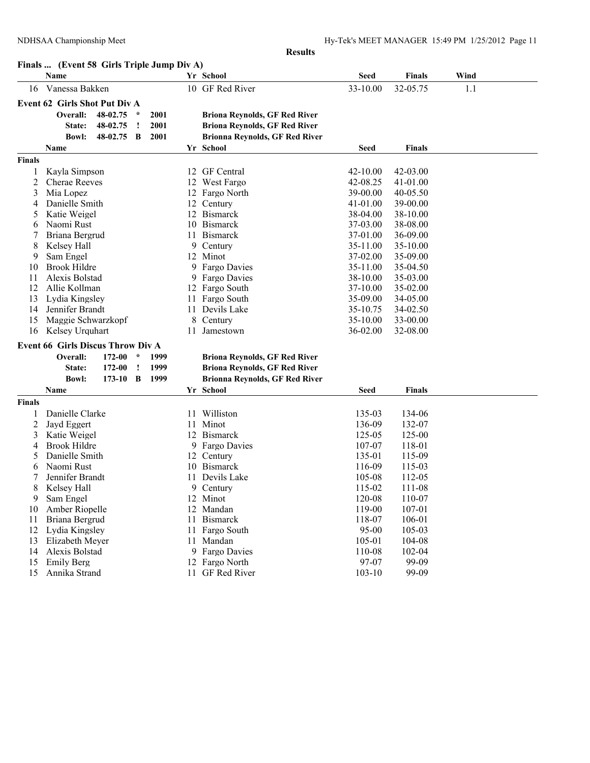|                |                                            |            |          |      |     | <b>Results</b>                        |              |               |      |
|----------------|--------------------------------------------|------------|----------|------|-----|---------------------------------------|--------------|---------------|------|
|                | Finals  (Event 58 Girls Triple Jump Div A) |            |          |      |     |                                       |              |               |      |
|                | Name                                       |            |          |      |     | Yr School                             | <b>Seed</b>  | <b>Finals</b> | Wind |
| 16             | Vanessa Bakken                             |            |          |      |     | 10 GF Red River                       | 33-10.00     | 32-05.75      | 1.1  |
|                | <b>Event 62 Girls Shot Put Div A</b>       |            |          |      |     |                                       |              |               |      |
|                | Overall:                                   | 48-02.75   | $\star$  | 2001 |     | <b>Briona Reynolds, GF Red River</b>  |              |               |      |
|                | State:                                     | 48-02.75   | $\cdot$  | 2001 |     | <b>Briona Reynolds, GF Red River</b>  |              |               |      |
|                | Bowl:                                      | 48-02.75   | B        | 2001 |     | <b>Brionna Reynolds, GF Red River</b> |              |               |      |
|                | <b>Name</b>                                |            |          |      |     | Yr School                             | <b>Seed</b>  | Finals        |      |
| <b>Finals</b>  |                                            |            |          |      |     |                                       |              |               |      |
| 1              | Kayla Simpson                              |            |          |      |     | 12 GF Central                         | $42 - 10.00$ | 42-03.00      |      |
| 2              | <b>Cherae Reeves</b>                       |            |          |      |     | 12 West Fargo                         | 42-08.25     | 41-01.00      |      |
| 3              | Mia Lopez                                  |            |          |      |     | 12 Fargo North                        | 39-00.00     | 40-05.50      |      |
| 4              | Danielle Smith                             |            |          |      | 12  | Century                               | 41-01.00     | 39-00.00      |      |
| 5              | Katie Weigel                               |            |          |      |     | 12 Bismarck                           | 38-04.00     | 38-10.00      |      |
| 6              | Naomi Rust                                 |            |          |      | 10  | <b>Bismarck</b>                       | 37-03.00     | 38-08.00      |      |
| 7              | Briana Bergrud                             |            |          |      | 11  | <b>Bismarck</b>                       | 37-01.00     | 36-09.00      |      |
| 8              | Kelsey Hall                                |            |          |      |     | 9 Century                             | 35-11.00     | 35-10.00      |      |
| 9              | Sam Engel                                  |            |          |      |     | 12 Minot                              | 37-02.00     | 35-09.00      |      |
| 10             | <b>Brook Hildre</b>                        |            |          |      |     | 9 Fargo Davies                        | 35-11.00     | 35-04.50      |      |
| 11             | Alexis Bolstad                             |            |          |      |     | 9 Fargo Davies                        | 38-10.00     | 35-03.00      |      |
| 12             | Allie Kollman                              |            |          |      |     | 12 Fargo South                        | 37-10.00     | 35-02.00      |      |
| 13             | Lydia Kingsley                             |            |          |      | 11  | Fargo South                           | 35-09.00     | 34-05.00      |      |
| 14             | Jennifer Brandt                            |            |          |      |     | 11 Devils Lake                        | 35-10.75     | 34-02.50      |      |
| 15             | Maggie Schwarzkopf                         |            |          |      | 8   | Century                               | 35-10.00     | 33-00.00      |      |
| 16             | Kelsey Urquhart                            |            |          |      | 11  | Jamestown                             | 36-02.00     | 32-08.00      |      |
|                | <b>Event 66 Girls Discus Throw Div A</b>   |            |          |      |     |                                       |              |               |      |
|                | Overall:<br>172-00<br>$\star$              |            |          | 1999 |     | <b>Briona Reynolds, GF Red River</b>  |              |               |      |
|                | State:                                     | 172-00     | <u>!</u> | 1999 |     | <b>Briona Reynolds, GF Red River</b>  |              |               |      |
|                | <b>Bowl:</b>                               | $173-10$ B |          | 1999 |     | <b>Brionna Reynolds, GF Red River</b> |              |               |      |
|                | Name                                       |            |          |      |     | Yr School                             | <b>Seed</b>  | <b>Finals</b> |      |
| <b>Finals</b>  |                                            |            |          |      |     |                                       |              |               |      |
|                | Danielle Clarke                            |            |          |      |     | 11 Williston                          | 135-03       | 134-06        |      |
| $\overline{c}$ | Jayd Eggert                                |            |          |      | 11. | Minot                                 | 136-09       | 132-07        |      |
| 3              | Katie Weigel                               |            |          |      | 12  | <b>Bismarck</b>                       | 125-05       | 125-00        |      |
| 4              | <b>Brook Hildre</b>                        |            |          |      |     | 9 Fargo Davies                        | 107-07       | 118-01        |      |
| 5              | Danielle Smith                             |            |          |      |     | 12 Century                            | 135-01       | 115-09        |      |
| 6              | Naomi Rust                                 |            |          |      |     | 10 Bismarck                           | 116-09       | 115-03        |      |
| 7              | Jennifer Brandt                            |            |          |      |     | 11 Devils Lake                        | 105-08       | 112-05        |      |
| 8              | Kelsey Hall                                |            |          |      |     | 9 Century                             | 115-02       | 111-08        |      |
| 9              | Sam Engel                                  |            |          |      |     | 12 Minot                              | 120-08       | 110-07        |      |
| 10             | Amber Riopelle                             |            |          |      |     | 12 Mandan                             | 119-00       | 107-01        |      |
| 11             | Briana Bergrud                             |            |          |      |     | 11 Bismarck                           | 118-07       | 106-01        |      |
| 12             | Lydia Kingsley                             |            |          |      |     | 11 Fargo South                        | 95-00        | 105-03        |      |
| 13             | Elizabeth Meyer                            |            |          |      |     | 11 Mandan                             | 105-01       | 104-08        |      |
| 14             | Alexis Bolstad                             |            |          |      |     | 9 Fargo Davies                        | 110-08       | 102-04        |      |
| 15             | Emily Berg                                 |            |          |      |     | 12 Fargo North                        | 97-07        | 99-09         |      |
| 15             | Annika Strand                              |            |          |      |     | 11 GF Red River                       | $103 - 10$   | 99-09         |      |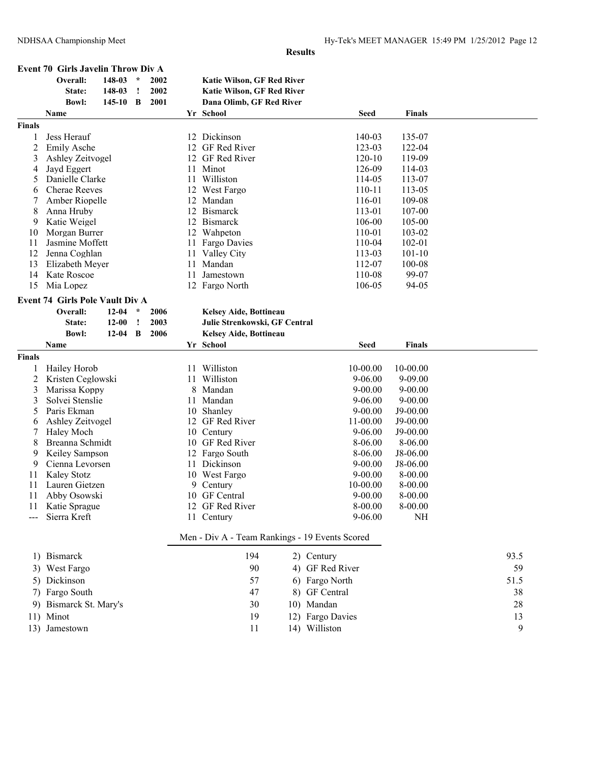**Event 70 Girls Javelin Throw Div A**

|               | Overall:                                           | 148-03     | $\star$       | 2002 |    | <b>Katie Wilson, GF Red River</b>              |                  |               |      |
|---------------|----------------------------------------------------|------------|---------------|------|----|------------------------------------------------|------------------|---------------|------|
|               | State:                                             | 148-03     | $\cdot$       | 2002 |    | <b>Katie Wilson, GF Red River</b>              |                  |               |      |
|               | <b>Bowl:</b>                                       | $145 - 10$ | B             | 2001 |    | Dana Olimb, GF Red River                       |                  |               |      |
|               | Name                                               |            |               |      |    | Yr School                                      | <b>Seed</b>      | <b>Finals</b> |      |
| <b>Finals</b> |                                                    |            |               |      |    |                                                |                  |               |      |
| 1             | Jess Herauf                                        |            |               |      |    | 12 Dickinson                                   | 140-03           | 135-07        |      |
| 2             | <b>Emily Asche</b>                                 |            |               |      |    | 12 GF Red River                                | 123-03           | 122-04        |      |
| 3             | Ashley Zeitvogel                                   |            |               |      |    | 12 GF Red River                                | 120-10           | 119-09        |      |
| 4             | Jayd Eggert                                        |            |               |      | 11 | Minot                                          | 126-09           | 114-03        |      |
| 5             | Danielle Clarke                                    |            |               |      | 11 | Williston                                      | 114-05           | 113-07        |      |
| 6             | <b>Cherae Reeves</b>                               |            |               |      |    | 12 West Fargo                                  | $110 - 11$       | 113-05        |      |
| 7             | Amber Riopelle                                     |            |               |      |    | 12 Mandan                                      | 116-01           | 109-08        |      |
| 8             | Anna Hruby                                         |            |               |      |    | 12 Bismarck                                    | 113-01           | 107-00        |      |
| 9             | Katie Weigel                                       |            |               |      |    | 12 Bismarck                                    | 106-00           | 105-00        |      |
| 10            | Morgan Burrer                                      |            |               |      |    | 12 Wahpeton                                    | 110-01           | 103-02        |      |
| 11            | Jasmine Moffett                                    |            |               |      |    | 11 Fargo Davies                                | 110-04           | 102-01        |      |
| 12            | Jenna Coghlan                                      |            |               |      |    | 11 Valley City                                 | 113-03           | $101 - 10$    |      |
| 13            | Elizabeth Meyer                                    |            |               |      | 11 | Mandan                                         | 112-07           | 100-08        |      |
| 14            | Kate Roscoe                                        |            |               |      | 11 | Jamestown                                      | 110-08           | 99-07         |      |
| 15            | Mia Lopez                                          |            |               |      |    | 12 Fargo North                                 | 106-05           | 94-05         |      |
|               |                                                    |            |               |      |    |                                                |                  |               |      |
|               | <b>Event 74 Girls Pole Vault Div A</b><br>Overall: |            | $\mathcal{N}$ |      |    |                                                |                  |               |      |
|               |                                                    | $12 - 04$  |               | 2006 |    | <b>Kelsey Aide, Bottineau</b>                  |                  |               |      |
|               | State:                                             | $12 - 00$  | $\cdot$       | 2003 |    | Julie Strenkowski, GF Central                  |                  |               |      |
|               | <b>Bowl:</b>                                       | 12-04      | $\mathbf B$   | 2006 |    | Kelsey Aide, Bottineau                         |                  |               |      |
|               | <b>Name</b>                                        |            |               |      |    | Yr School                                      | Seed             | <b>Finals</b> |      |
| Finals        |                                                    |            |               |      |    |                                                |                  |               |      |
| 1             | Hailey Horob                                       |            |               |      | 11 | Williston                                      | 10-00.00         | 10-00.00      |      |
| 2             | Kristen Ceglowski                                  |            |               |      |    | 11 Williston                                   | $9 - 06.00$      | $9 - 09.00$   |      |
| 3             | Marissa Koppy                                      |            |               |      | 8  | Mandan                                         | $9 - 00.00$      | $9 - 00.00$   |      |
| 3             | Solvei Stenslie                                    |            |               |      | 11 | Mandan                                         | $9 - 06.00$      | $9 - 00.00$   |      |
| 5             | Paris Ekman                                        |            |               |      |    | 10 Shanley                                     | $9 - 00.00$      | $J9-00.00$    |      |
| 6             | Ashley Zeitvogel                                   |            |               |      |    | 12 GF Red River                                | 11-00.00         | $J9-00.00$    |      |
| 7             | Haley Moch                                         |            |               |      |    | 10 Century                                     | $9 - 06.00$      | $J9-00.00$    |      |
| 8             | Breanna Schmidt                                    |            |               |      |    | 10 GF Red River                                | 8-06.00          | 8-06.00       |      |
| 9             | Keiley Sampson                                     |            |               |      |    | 12 Fargo South                                 | 8-06.00          | J8-06.00      |      |
| 9             | Cienna Levorsen                                    |            |               |      | 11 | Dickinson                                      | $9 - 00.00$      | J8-06.00      |      |
| 11            | Kaley Stotz                                        |            |               |      |    | 10 West Fargo                                  | $9 - 00.00$      | 8-00.00       |      |
| 11            | Lauren Gietzen                                     |            |               |      | 9. | Century                                        | 10-00.00         | $8 - 00.00$   |      |
| 11            | Abby Osowski                                       |            |               |      |    | 10 GF Central                                  | $9 - 00.00$      | 8-00.00       |      |
|               | 11 Katie Sprague                                   |            |               |      |    | 12 GF Red River                                | 8-00.00          | 8-00.00       |      |
|               | Sierra Kreft                                       |            |               |      |    | 11 Century                                     | $9 - 06.00$      | <b>NH</b>     |      |
|               |                                                    |            |               |      |    | Men - Div A - Team Rankings - 19 Events Scored |                  |               |      |
|               | 1) Bismarck                                        |            |               |      |    | 194                                            | 2) Century       |               | 93.5 |
|               | 3) West Fargo                                      |            |               |      |    | 90                                             | 4) GF Red River  |               | 59   |
|               |                                                    |            |               |      |    |                                                |                  |               |      |
|               | 5) Dickinson                                       |            |               |      |    | 57                                             | 6) Fargo North   |               | 51.5 |
|               | 7) Fargo South                                     |            |               |      |    | 47                                             | 8) GF Central    |               | 38   |
|               | 9) Bismarck St. Mary's                             |            |               |      |    | 30                                             | 10) Mandan       |               | 28   |
|               | 11) Minot                                          |            |               |      |    | 19                                             | 12) Fargo Davies |               | 13   |
|               | 13) Jamestown                                      |            |               |      |    | 11                                             | 14) Williston    |               | 9    |